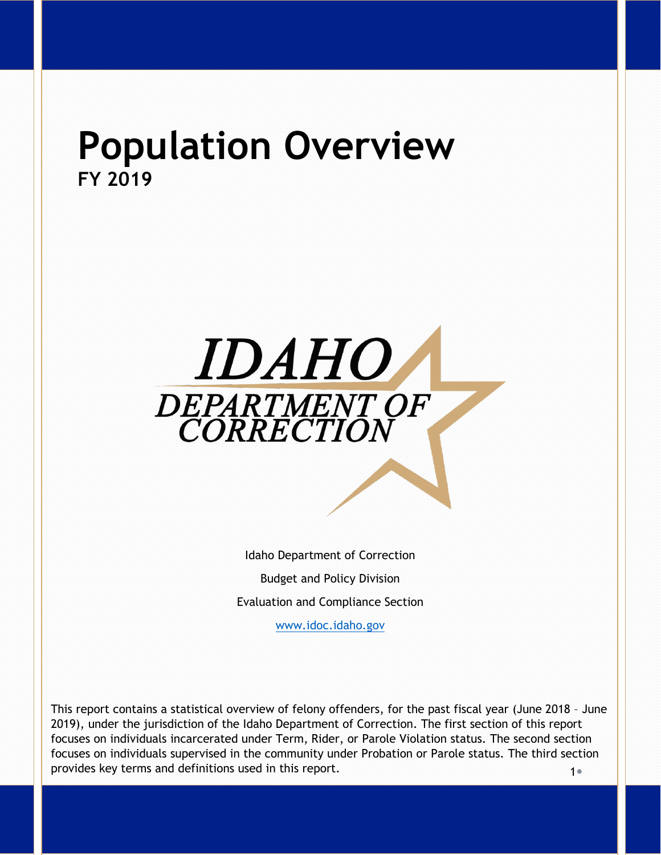# **Population Overview FY 2019**



Idaho Department of Correction Budget and Policy Division Evaluation and Compliance Section

[www.idoc.idaho.gov](http://www.idoc.idaho.gov/)

 $1<sub>e</sub>$ This report contains a statistical overview of felony offenders, for the past fiscal year (June 2018 – June 2019), under the jurisdiction of the Idaho Department of Correction. The first section of this report focuses on individuals incarcerated under Term, Rider, or Parole Violation status. The second section focuses on individuals supervised in the community under Probation or Parole status. The third section provides key terms and definitions used in this report.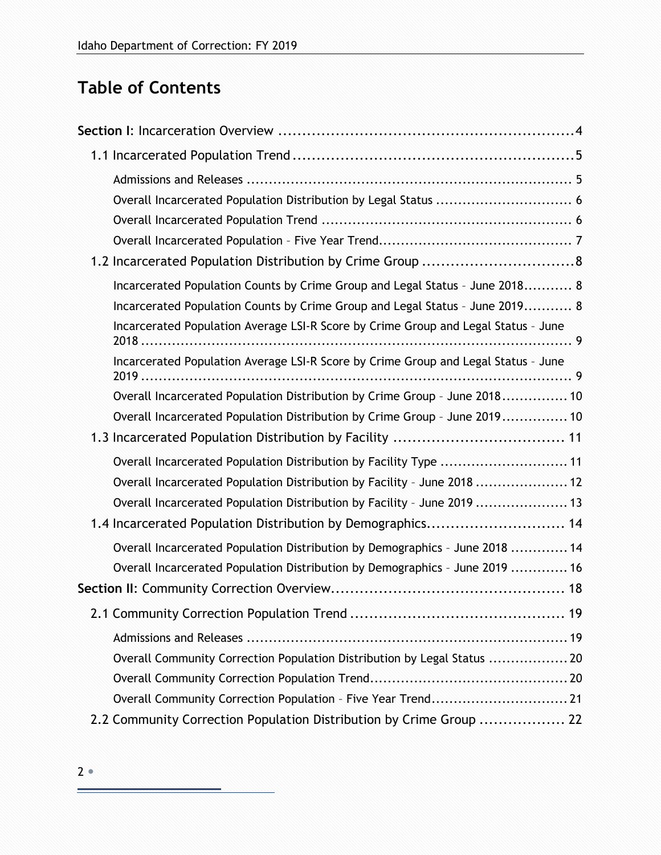# **Table of Contents**

| Overall Incarcerated Population Distribution by Legal Status  6                    |
|------------------------------------------------------------------------------------|
|                                                                                    |
|                                                                                    |
|                                                                                    |
| Incarcerated Population Counts by Crime Group and Legal Status - June 2018 8       |
| Incarcerated Population Counts by Crime Group and Legal Status - June 2019 8       |
| Incarcerated Population Average LSI-R Score by Crime Group and Legal Status - June |
| Incarcerated Population Average LSI-R Score by Crime Group and Legal Status - June |
| Overall Incarcerated Population Distribution by Crime Group - June 2018 10         |
| Overall Incarcerated Population Distribution by Crime Group - June 2019 10         |
|                                                                                    |
| Overall Incarcerated Population Distribution by Facility Type  11                  |
| Overall Incarcerated Population Distribution by Facility - June 2018  12           |
| Overall Incarcerated Population Distribution by Facility - June 2019  13           |
| 1.4 Incarcerated Population Distribution by Demographics 14                        |
| Overall Incarcerated Population Distribution by Demographics - June 2018  14       |
| Overall Incarcerated Population Distribution by Demographics - June 2019  16       |
|                                                                                    |
|                                                                                    |
|                                                                                    |
| Overall Community Correction Population Distribution by Legal Status  20           |
|                                                                                    |
| Overall Community Correction Population - Five Year Trend 21                       |
| 2.2 Community Correction Population Distribution by Crime Group  22                |

 $\equiv$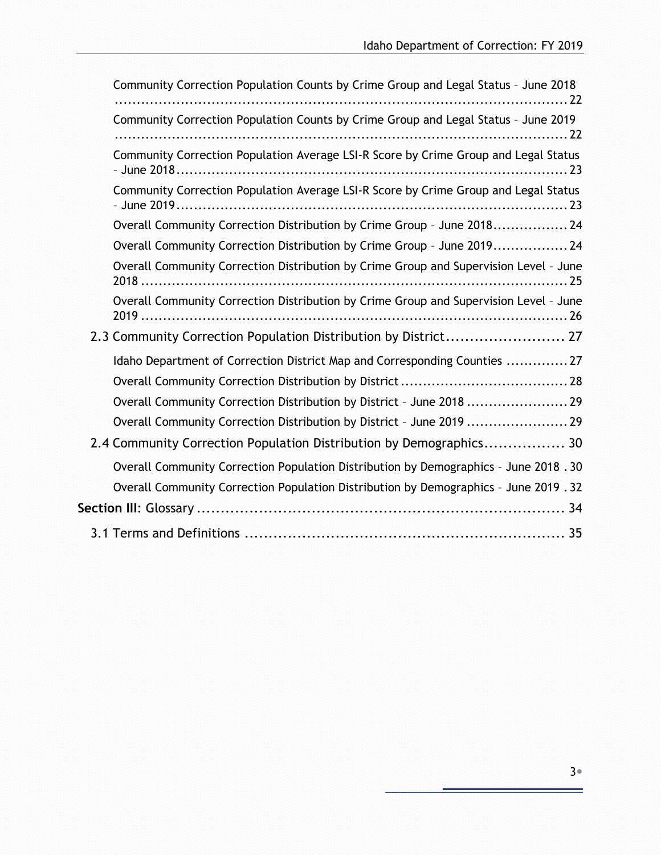| Community Correction Population Counts by Crime Group and Legal Status - June 2019                                                                                          |
|-----------------------------------------------------------------------------------------------------------------------------------------------------------------------------|
|                                                                                                                                                                             |
| Community Correction Population Average LSI-R Score by Crime Group and Legal Status                                                                                         |
| Community Correction Population Average LSI-R Score by Crime Group and Legal Status                                                                                         |
| Overall Community Correction Distribution by Crime Group - June 2018 24                                                                                                     |
| Overall Community Correction Distribution by Crime Group - June 2019 24                                                                                                     |
| Overall Community Correction Distribution by Crime Group and Supervision Level - June                                                                                       |
| Overall Community Correction Distribution by Crime Group and Supervision Level - June                                                                                       |
| 2.3 Community Correction Population Distribution by District 27                                                                                                             |
| Idaho Department of Correction District Map and Corresponding Counties  27                                                                                                  |
|                                                                                                                                                                             |
| Overall Community Correction Distribution by District - June 2018  29                                                                                                       |
| Overall Community Correction Distribution by District - June 2019  29                                                                                                       |
| 2.4 Community Correction Population Distribution by Demographics 30                                                                                                         |
| Overall Community Correction Population Distribution by Demographics - June 2018.30<br>Overall Community Correction Population Distribution by Demographics - June 2019. 32 |
|                                                                                                                                                                             |
|                                                                                                                                                                             |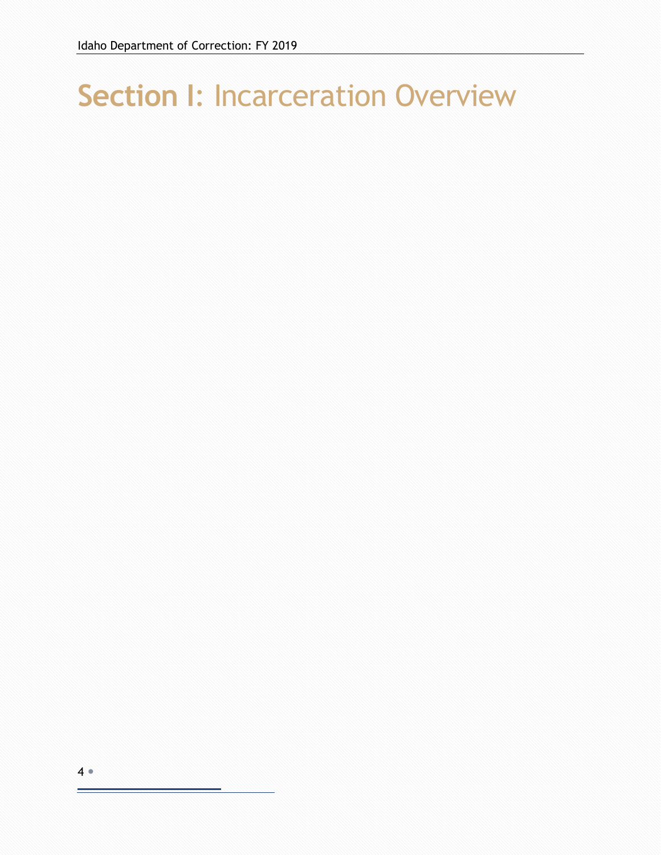# <span id="page-3-0"></span>**Section I**: Incarceration Overview

 $\equiv$ 

<sup>4</sup>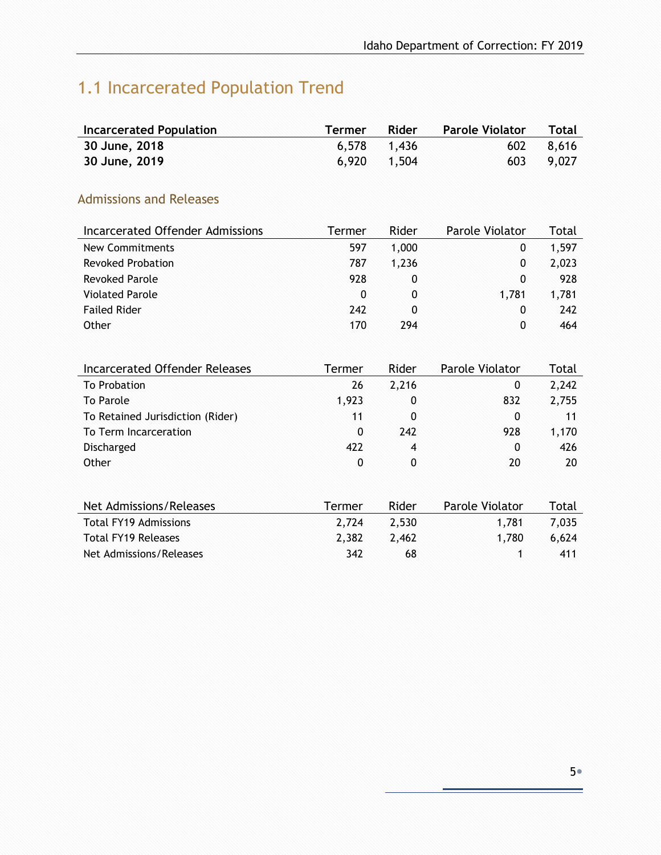# <span id="page-4-0"></span>1.1 Incarcerated Population Trend

| <b>Incarcerated Population</b> | <b>Termer</b> | Rider       | Parole Violator Total |           |
|--------------------------------|---------------|-------------|-----------------------|-----------|
| 30 June, 2018                  |               | 6,578 1,436 |                       | 602 8.616 |
| 30 June, 2019                  |               | 6,920 1,504 |                       | 603 9,027 |

### <span id="page-4-1"></span>Admissions and Releases

| Incarcerated Offender Admissions | Termer | Rider | Parole Violator | Total |
|----------------------------------|--------|-------|-----------------|-------|
| New Commitments                  | 597    | 1,000 | 0               | 1,597 |
| <b>Revoked Probation</b>         | 787    | 1.236 | 0               | 2,023 |
| <b>Revoked Parole</b>            | 928    | 0     | 0               | 928   |
| <b>Violated Parole</b>           | 0      | 0     | 1.781           | 1,781 |
| <b>Failed Rider</b>              | 242    | 0     | $\Omega$        | 242   |
| Other                            | 170    | 294   | 0               | 464   |

| Incarcerated Offender Releases   | Termer | Rider          | <b>Parole Violator</b> | Total |
|----------------------------------|--------|----------------|------------------------|-------|
| To Probation                     | 26     | 2,216          | 0                      | 2,242 |
| To Parole                        | 1,923  | 0              | 832                    | 2,755 |
| To Retained Jurisdiction (Rider) | 11     | 0              | $\mathbf{0}$           | 11    |
| To Term Incarceration            | 0      | 242            | 928                    | 1,170 |
| <b>Discharged</b>                | 422    | $\overline{4}$ | 0                      | 426   |
| Other                            | 0      | 0              | 20                     | 20    |
|                                  |        |                |                        |       |
| Net Admissions/Releases          | Termer | Rider          | Parole Violator        | Total |
| <b>Total FY19 Admissions</b>     | 2,724  | 2,530          | 1,781                  | 7,035 |
| <b>Total FY19 Releases</b>       | 2,382  | 2,462          | 1,780                  | 6,624 |

Net Admissions/Releases 1 342 68 1 411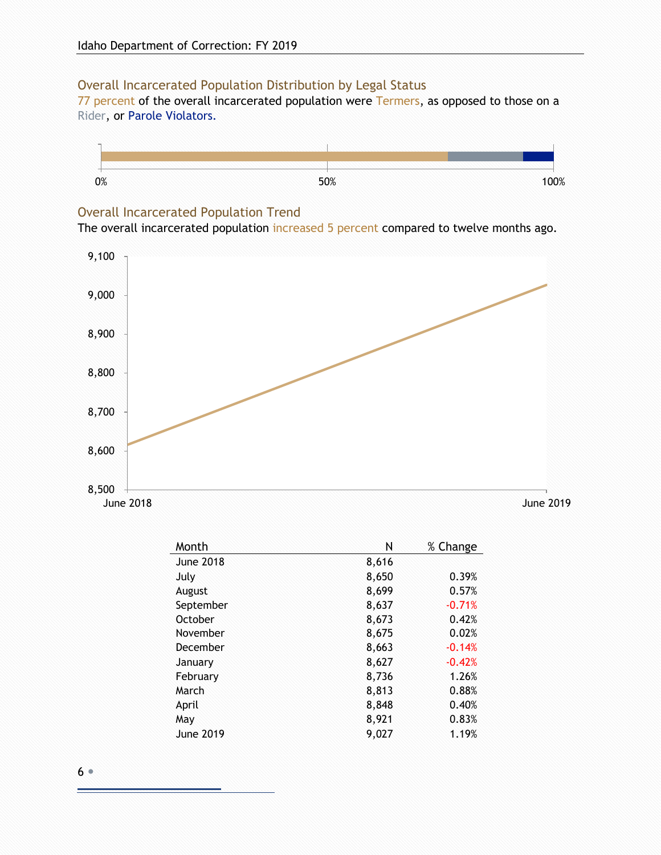#### <span id="page-5-0"></span>Overall Incarcerated Population Distribution by Legal Status

77 percent of the overall incarcerated population were Termers, as opposed to those on a Rider, or Parole Violators.



#### <span id="page-5-1"></span>Overall Incarcerated Population Trend

The overall incarcerated population increased 5 percent compared to twelve months ago.



| Month            | Ν     | % Change |
|------------------|-------|----------|
| <b>June 2018</b> | 8,616 |          |
| July             | 8,650 | 0.39%    |
| August           | 8,699 | 0.57%    |
| September        | 8,637 | $-0.71%$ |
| October          | 8,673 | 0.42%    |
| November         | 8,675 | 0.02%    |
| December         | 8,663 | $-0.14%$ |
| January          | 8,627 | $-0.42%$ |
| February         | 8,736 | 1.26%    |
| March            | 8,813 | 0.88%    |
| April            | 8,848 | 0.40%    |
| May              | 8,921 | 0.83%    |
| <b>June 2019</b> | 9,027 | 1.19%    |

6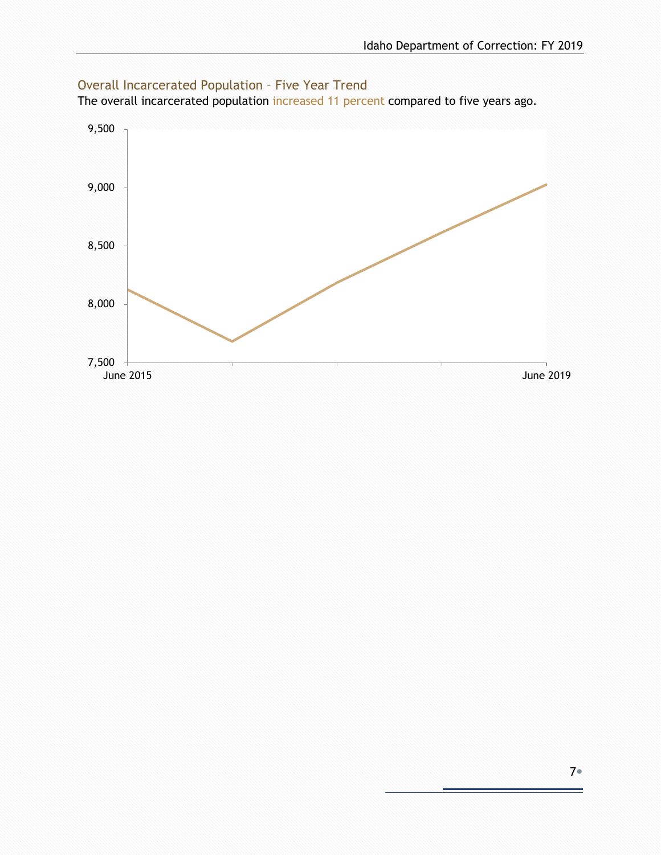

#### <span id="page-6-0"></span>Overall Incarcerated Population – Five Year Trend

The overall incarcerated population increased 11 percent compared to five years ago.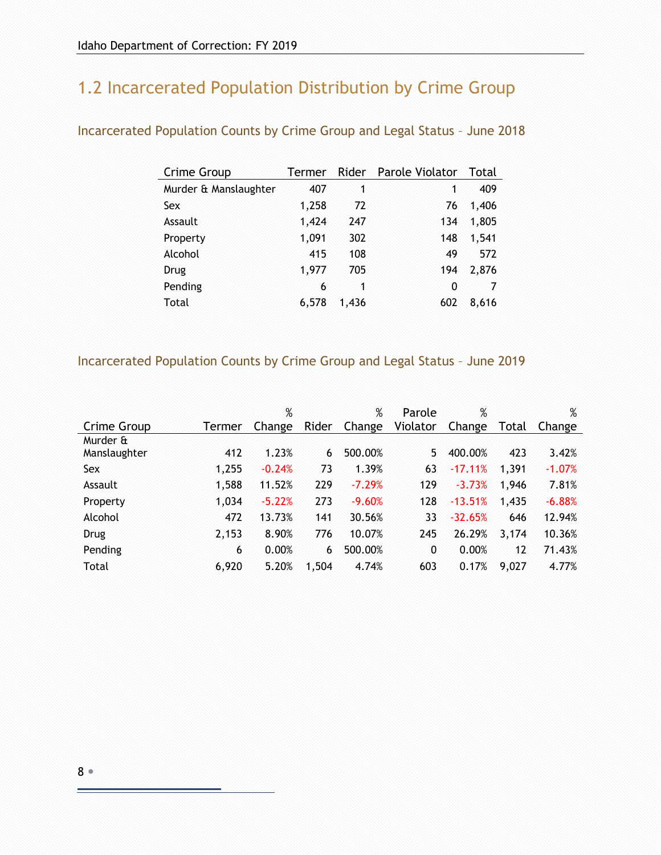## <span id="page-7-0"></span>1.2 Incarcerated Population Distribution by Crime Group

| Crime Group           | Termer |       | Rider Parole Violator | Total |
|-----------------------|--------|-------|-----------------------|-------|
| Murder & Manslaughter | 407    | 1     | 1                     | 409   |
| Sex                   | 1,258  | 72    | 76                    | 1,406 |
| Assault               | 1,424  | 247   | 134                   | 1,805 |
| Property              | 1,091  | 302   | 148                   | 1,541 |
| Alcohol               | 415    | 108   | 49                    | 572   |
| <b>Drug</b>           | 1,977  | 705   | 194                   | 2,876 |
| Pending               | 6      | 1     | 0                     | 7     |
| Total                 | 6,578  | 1.436 | 602                   | 8,616 |
|                       |        |       |                       |       |

<span id="page-7-1"></span>Incarcerated Population Counts by Crime Group and Legal Status – June 2018

#### <span id="page-7-2"></span>Incarcerated Population Counts by Crime Group and Legal Status – June 2019

|              |        | %        |       | $\%$     | Parole   | %         |       | %        |
|--------------|--------|----------|-------|----------|----------|-----------|-------|----------|
| Crime Group  | Termer | Change   | Rider | Change   | Violator | Change    | Total | Change   |
| Murder &     |        |          |       |          |          |           |       |          |
| Manslaughter | 412    | 1.23%    | 6     | 500.00%  | 5        | 400.00%   | 423   | 3.42%    |
| Sex          | 1,255  | $-0.24%$ | 73    | 1.39%    | 63       | $-17.11%$ | 1,391 | $-1.07%$ |
| Assault      | 1,588  | 11.52%   | 229   | $-7.29%$ | 129      | $-3.73%$  | 1,946 | 7.81%    |
| Property     | 1,034  | $-5.22%$ | 273   | $-9.60%$ | 128      | $-13.51%$ | 1,435 | $-6.88%$ |
| Alcohol      | 472    | 13.73%   | 141   | 30.56%   | 33       | $-32.65%$ | 646   | 12.94%   |
| Drug         | 2,153  | 8.90%    | 776   | 10.07%   | 245      | 26.29%    | 3,174 | 10.36%   |
| Pending      | 6      | 0.00%    | 6     | 500.00%  | 0        | 0.00%     | 12    | 71.43%   |
| Total        | 6,920  | 5.20%    | 1,504 | 4.74%    | 603      | 0.17%     | 9,027 | 4.77%    |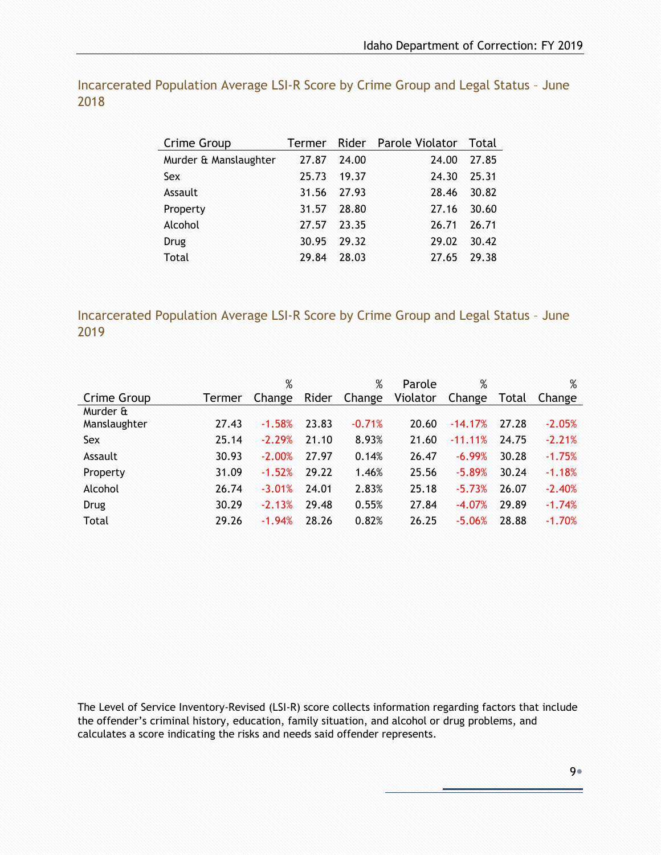| Crime Group           |       |       | Termer Rider Parole Violator Total |       |
|-----------------------|-------|-------|------------------------------------|-------|
| Murder & Manslaughter | 27.87 | 24.00 | 24.00                              | 27.85 |
| <b>Sex</b>            | 25.73 | 19.37 | 24.30                              | 25.31 |
| Assault               | 31.56 | 27.93 | 28.46                              | 30.82 |
| Property              | 31.57 | 28.80 | 27.16                              | 30.60 |
| Alcohol               | 27.57 | 23.35 | 26.71                              | 26.71 |
| Drug                  | 30.95 | 29.32 | 29.02                              | 30.42 |
| Total                 | 29.84 | 28.03 | 27.65                              | 29.38 |

<span id="page-8-0"></span>Incarcerated Population Average LSI-R Score by Crime Group and Legal Status – June 2018

<span id="page-8-1"></span>Incarcerated Population Average LSI-R Score by Crime Group and Legal Status – June 2019

|              |        | $\%$     |       | $\%$     | Parole   | $\%$       |       | $\%$     |
|--------------|--------|----------|-------|----------|----------|------------|-------|----------|
| Crime Group  | Termer | Change   | Rider | Change   | Violator | Change     | Total | Change   |
| Murder &     |        |          |       |          |          |            |       |          |
| Manslaughter | 27.43  | $-1.58%$ | 23.83 | $-0.71%$ | 20.60    | $-14.17%$  | 27.28 | $-2.05%$ |
| Sex          | 25.14  | $-2.29%$ | 21.10 | 8.93%    | 21.60    | $-11.11\%$ | 24.75 | $-2.21%$ |
| Assault      | 30.93  | $-2.00%$ | 27.97 | 0.14%    | 26.47    | $-6.99%$   | 30.28 | $-1.75%$ |
| Property     | 31.09  | $-1.52%$ | 29.22 | 1.46%    | 25.56    | $-5.89%$   | 30.24 | $-1.18%$ |
| Alcohol      | 26.74  | $-3.01%$ | 24.01 | 2.83%    | 25.18    | $-5.73%$   | 26.07 | $-2.40%$ |
| Drug         | 30.29  | $-2.13%$ | 29.48 | 0.55%    | 27.84    | $-4.07%$   | 29.89 | $-1.74%$ |
| Total        | 29.26  | $-1.94%$ | 28.26 | 0.82%    | 26.25    | $-5.06%$   | 28.88 | $-1.70%$ |

The Level of Service Inventory-Revised (LSI-R) score collects information regarding factors that include the offender's criminal history, education, family situation, and alcohol or drug problems, and calculates a score indicating the risks and needs said offender represents.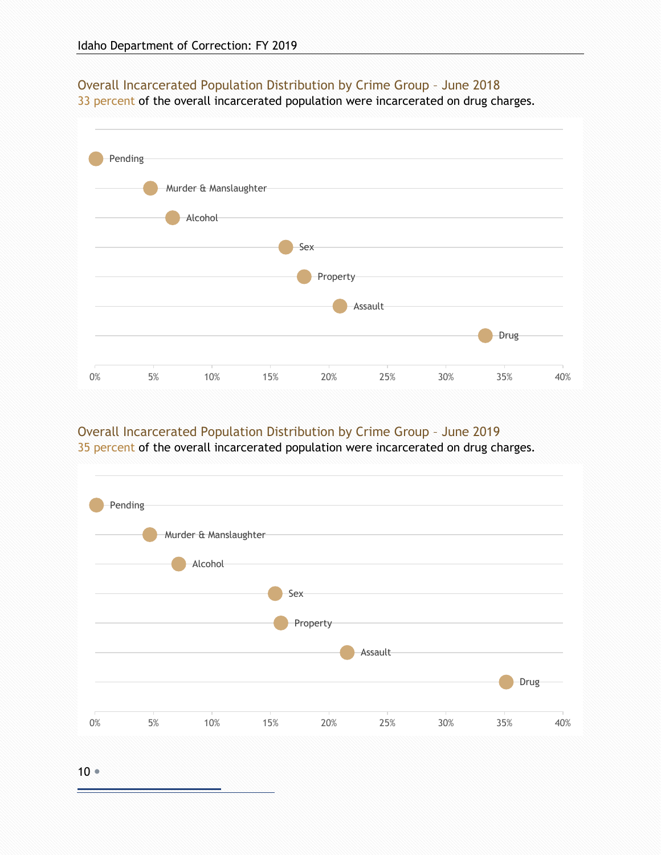

### <span id="page-9-0"></span>Overall Incarcerated Population Distribution by Crime Group – June 2018

33 percent of the overall incarcerated population were incarcerated on drug charges.

#### <span id="page-9-1"></span>Overall Incarcerated Population Distribution by Crime Group – June 2019

35 percent of the overall incarcerated population were incarcerated on drug charges.



10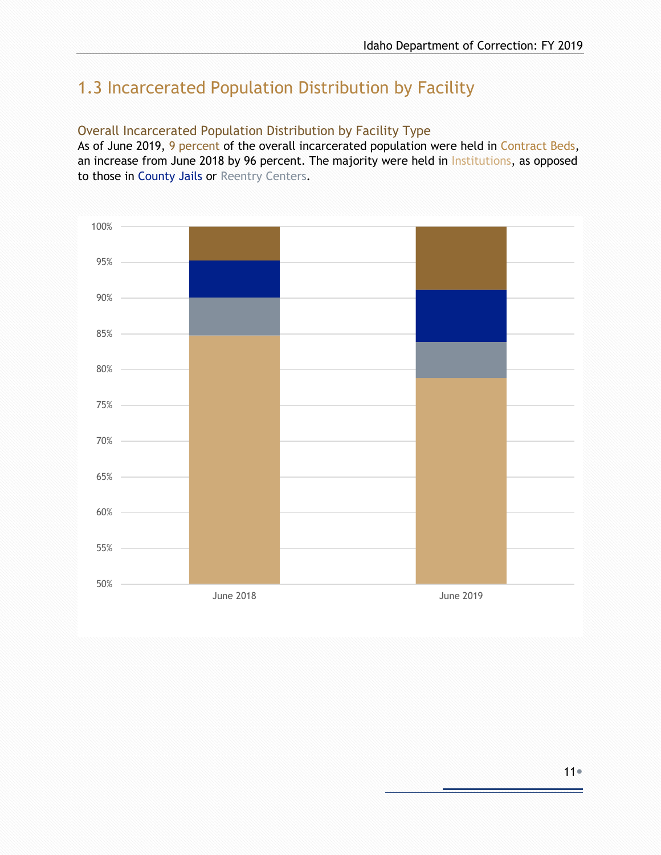## <span id="page-10-0"></span>1.3 Incarcerated Population Distribution by Facility

#### <span id="page-10-1"></span>Overall Incarcerated Population Distribution by Facility Type

As of June 2019, 9 percent of the overall incarcerated population were held in Contract Beds, an increase from June 2018 by 96 percent. The majority were held in Institutions, as opposed to those in County Jails or Reentry Centers.

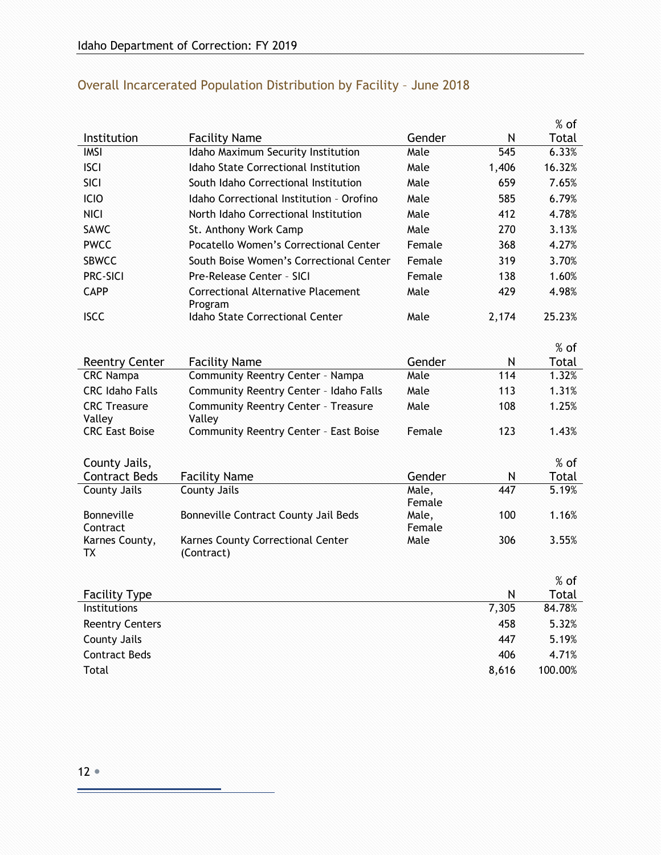|                                           |                                                          |                 |          | $%$ of         |
|-------------------------------------------|----------------------------------------------------------|-----------------|----------|----------------|
| Institution                               | <b>Facility Name</b>                                     | Gender          | N        | Total          |
| <b>IMSI</b>                               | Idaho Maximum Security Institution                       | Male            | 545      | 6.33%          |
| <b>ISCI</b>                               | <b>Idaho State Correctional Institution</b>              | Male            | 1,406    | 16.32%         |
| <b>SICI</b>                               | South Idaho Correctional Institution                     | Male            | 659      | 7.65%          |
| ICIO                                      | Idaho Correctional Institution - Orofino                 | Male            | 585      | 6.79%          |
| <b>NICI</b>                               | North Idaho Correctional Institution                     | Male            | 412      | 4.78%          |
| <b>SAWC</b>                               | St. Anthony Work Camp                                    | Male            | 270      | 3.13%          |
| <b>PWCC</b>                               | Pocatello Women's Correctional Center                    | Female          | 368      | 4.27%          |
| <b>SBWCC</b>                              | South Boise Women's Correctional Center                  | Female          | 319      | 3.70%          |
| <b>PRC-SICI</b>                           | Pre-Release Center - SICI                                | Female          | 138      | 1.60%          |
| <b>CAPP</b>                               | Correctional Alternative Placement                       | Male            | 429      | 4.98%          |
| <b>ISCC</b>                               | Program<br>Idaho State Correctional Center               | Male            | 2,174    | 25.23%         |
|                                           |                                                          |                 |          |                |
|                                           |                                                          |                 |          | % of           |
| <b>Reentry Center</b><br><b>CRC</b> Nampa | <b>Facility Name</b><br>Community Reentry Center - Nampa | Gender<br>Male  | N<br>114 | Total<br>1.32% |
| <b>CRC Idaho Falls</b>                    |                                                          | Male            | 113      | 1.31%          |
|                                           | Community Reentry Center - Idaho Falls                   | Male            | 108      | 1.25%          |
| <b>CRC</b> Treasure<br>Valley             | <b>Community Reentry Center - Treasure</b><br>Valley     |                 |          |                |
| <b>CRC East Boise</b>                     | Community Reentry Center - East Boise                    | Female          | 123      | 1.43%          |
|                                           |                                                          |                 |          |                |
| County Jails,                             |                                                          |                 |          | % of           |
| <b>Contract Beds</b>                      | <b>Facility Name</b><br><b>County Jails</b>              | Gender<br>Male, | N<br>447 | Total<br>5.19% |
| <b>County Jails</b>                       |                                                          | Female          |          |                |
| <b>Bonneville</b>                         | Bonneville Contract County Jail Beds                     | Male,           | 100      | 1.16%          |
| Contract                                  |                                                          | Female          |          |                |
| Karnes County,<br>TX                      | Karnes County Correctional Center<br>(Contract)          | Male            | 306      | 3.55%          |
|                                           |                                                          |                 |          |                |
|                                           |                                                          |                 |          | $%$ of         |
| <b>Facility Type</b>                      |                                                          |                 | N        | Total          |
| Institutions                              |                                                          |                 | 7,305    | 84.78%         |
| <b>Reentry Centers</b>                    |                                                          |                 | 458      | 5.32%          |
| <b>County Jails</b>                       |                                                          |                 | 447      | 5.19%          |
| <b>Contract Beds</b>                      |                                                          |                 | 406      | 4.71%          |
| <b>Total</b>                              |                                                          |                 | 8,616    | 100.00%        |

## <span id="page-11-0"></span>Overall Incarcerated Population Distribution by Facility – June 2018

÷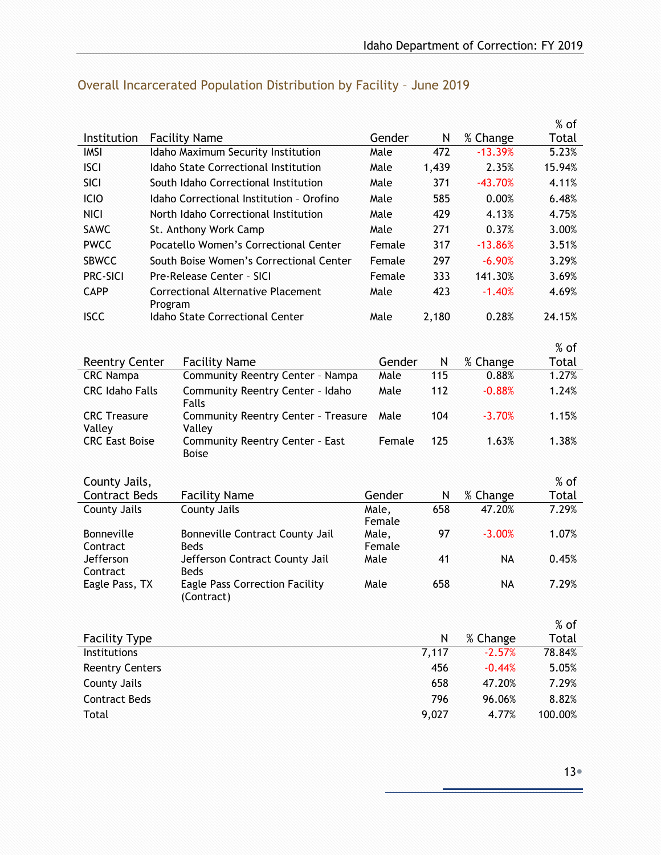|                                      |         |                                                      |                 |            |                      | $%$ of          |
|--------------------------------------|---------|------------------------------------------------------|-----------------|------------|----------------------|-----------------|
| Institution                          |         | <b>Facility Name</b>                                 | Gender          | N          | % Change             | Total           |
| <b>IMSI</b>                          |         | Idaho Maximum Security Institution                   | Male            | 472        | $-13.39%$            | 5.23%           |
| <b>ISCI</b>                          |         | Idaho State Correctional Institution                 | Male            | 1,439      | 2.35%                | 15.94%          |
| SICI                                 |         | South Idaho Correctional Institution                 | Male            | 371        | $-43.70%$            | 4.11%           |
| ICIO                                 |         | Idaho Correctional Institution - Orofino             | Male            | 585        | 0.00%                | 6.48%           |
| <b>NICI</b>                          |         | North Idaho Correctional Institution                 | Male            | 429        | 4.13%                | 4.75%           |
| <b>SAWC</b>                          |         | St. Anthony Work Camp                                | Male            | 271        | 0.37%                | 3.00%           |
| <b>PWCC</b>                          |         | Pocatello Women's Correctional Center                | Female          | 317        | $-13.86%$            | 3.51%           |
| <b>SBWCC</b>                         |         | South Boise Women's Correctional Center              | Female          | 297        | $-6.90%$             | 3.29%           |
| <b>PRC-SICI</b>                      |         | Pre-Release Center - SICI                            | Female          | 333        | 141.30%              | 3.69%           |
| <b>CAPP</b>                          | Program | Correctional Alternative Placement                   | Male            | 423        | $-1.40%$             | 4.69%           |
| <b>ISCC</b>                          |         | Idaho State Correctional Center                      | Male            | 2,180      | 0.28%                | 24.15%          |
|                                      |         |                                                      |                 |            |                      | $%$ of          |
| <b>Reentry Center</b>                |         | <b>Facility Name</b>                                 | Gender          | N          | % Change             | Total           |
| <b>CRC Nampa</b>                     |         | Community Reentry Center - Nampa                     | Male            | 115        | 0.88%                | 1.27%           |
| <b>CRC Idaho Falls</b>               |         | Community Reentry Center - Idaho                     | Male            | 112        | $-0.88%$             | 1.24%           |
|                                      |         | Falls                                                |                 |            |                      |                 |
| <b>CRC Treasure</b><br>Valley        |         | <b>Community Reentry Center - Treasure</b><br>Valley | Male            | 104        | $-3.70%$             | 1.15%           |
| <b>CRC East Boise</b>                |         | Community Reentry Center - East<br><b>Boise</b>      | Female          | 125        | 1.63%                | 1.38%           |
|                                      |         |                                                      |                 |            |                      |                 |
| County Jails,                        |         |                                                      |                 |            |                      | % of            |
| <b>Contract Beds</b>                 |         | <b>Facility Name</b>                                 | Gender          | N          | % Change             | Total           |
| County Jails                         |         | County Jails                                         | Male,<br>Female | 658        | 47.20%               | 7.29%           |
| Bonneville                           |         | Bonneville Contract County Jail                      | Male,           | 97         | $-3.00%$             | 1.07%           |
| Contract                             |         | <b>Beds</b>                                          | Female          |            |                      |                 |
| Jefferson                            |         | Jefferson Contract County Jail                       | Male            | 41         | <b>NA</b>            | 0.45%           |
| Contract                             |         | <b>Beds</b>                                          |                 |            |                      |                 |
| Eagle Pass, TX                       |         | <b>Eagle Pass Correction Facility</b><br>(Contract)  | Male            | 658        | NA                   | 7.29%           |
|                                      |         |                                                      |                 |            |                      |                 |
|                                      |         |                                                      |                 |            |                      | $%$ of          |
| <b>Facility Type</b><br>Institutions |         |                                                      |                 | N<br>7,117 | % Change<br>$-2.57%$ | Total<br>78.84% |
|                                      |         |                                                      |                 |            |                      |                 |
| <b>Reentry Centers</b>               |         |                                                      |                 | 456        | $-0.44%$             | 5.05%           |
| <b>County Jails</b>                  |         |                                                      |                 | 658        | 47.20%               | 7.29%           |
| <b>Contract Beds</b>                 |         |                                                      |                 | 796        | 96.06%               | 8.82%           |
| Total                                |         |                                                      |                 | 9,027      | 4.77%                | 100.00%         |

## <span id="page-12-0"></span>Overall Incarcerated Population Distribution by Facility – June 2019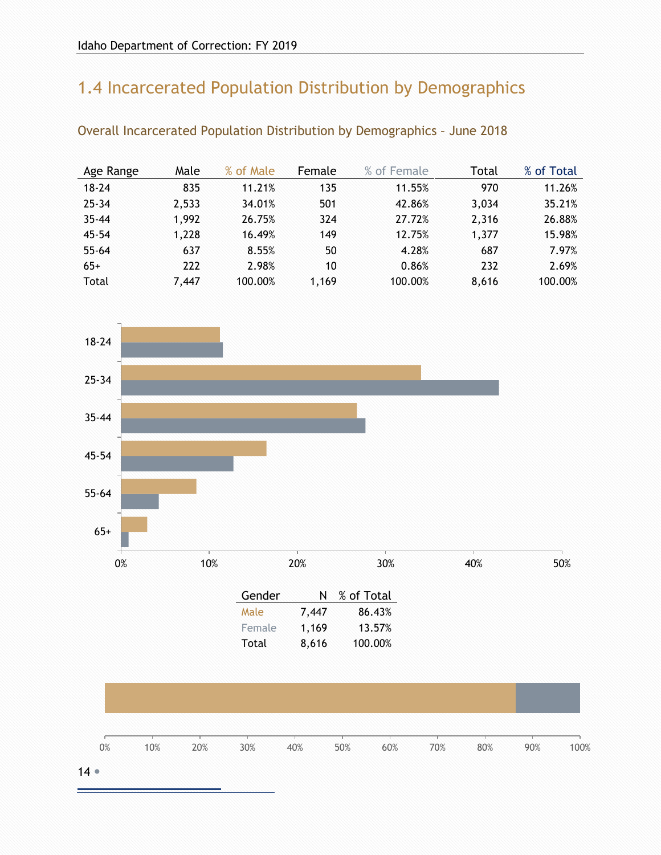# <span id="page-13-0"></span>1.4 Incarcerated Population Distribution by Demographics

| Age Range | Male  | % of Male | Female | % of Female | Total | % of Total |
|-----------|-------|-----------|--------|-------------|-------|------------|
| $18 - 24$ | 835   | 11.21%    | 135    | 11.55%      | 970   | 11.26%     |
| $25 - 34$ | 2,533 | 34.01%    | 501    | 42.86%      | 3,034 | 35.21%     |
| $35 - 44$ | 1,992 | 26.75%    | 324    | 27.72%      | 2,316 | 26.88%     |
| $45 - 54$ | 1,228 | 16.49%    | 149    | 12.75%      | 1,377 | 15.98%     |
| $55 - 64$ | 637   | 8.55%     | 50     | 4.28%       | 687   | 7.97%      |
| $65+$     | 222   | 2.98%     | 10     | 0.86%       | 232   | 2.69%      |
| Total     | 7,447 | 100.00%   | 1,169  | 100.00%     | 8,616 | 100.00%    |

<span id="page-13-1"></span>Overall Incarcerated Population Distribution by Demographics – June 2018

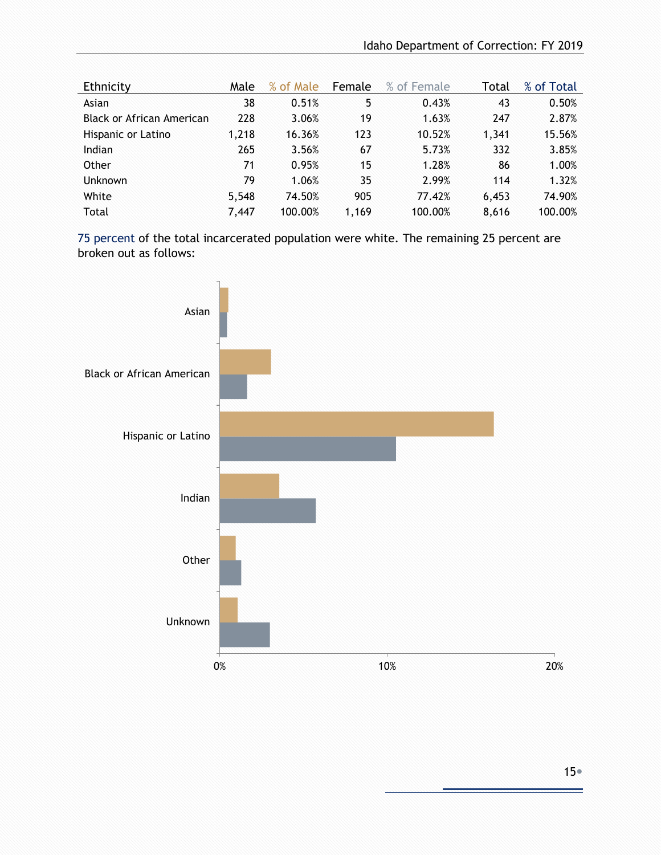| Ethnicity                 | Male  | % of Male | Female | % of Female | Total | % of Total |
|---------------------------|-------|-----------|--------|-------------|-------|------------|
| Asian                     | 38    | 0.51%     | 5      | 0.43%       | 43    | 0.50%      |
| Black or African American | 228   | 3.06%     | 19     | 1.63%       | 247   | 2.87%      |
| Hispanic or Latino        | 1,218 | 16.36%    | 123    | 10.52%      | 1,341 | 15.56%     |
| Indian                    | 265   | 3.56%     | 67     | 5.73%       | 332   | 3.85%      |
| Other                     | 71    | 0.95%     | 15     | 1.28%       | 86    | 1.00%      |
| <b>Unknown</b>            | 79    | 1.06%     | 35     | 2.99%       | 114   | 1.32%      |
| White                     | 5,548 | 74.50%    | 905    | 77.42%      | 6,453 | 74.90%     |
| Total                     | 7,447 | 100.00%   | 1,169  | 100.00%     | 8,616 | 100.00%    |

75 percent of the total incarcerated population were white. The remaining 25 percent are broken out as follows:

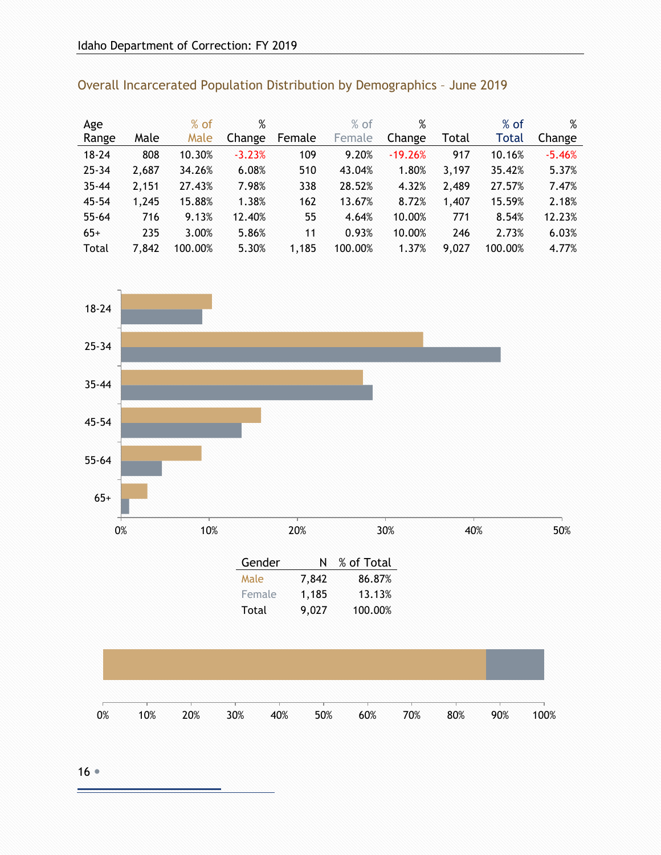| Age       |       | $%$ of  | %        |        | $%$ of  | %         |       | $%$ of       | %        |
|-----------|-------|---------|----------|--------|---------|-----------|-------|--------------|----------|
| Range     | Male  | Male    | Change   | Female | Female  | Change    | Total | <b>Total</b> | Change   |
| $18 - 24$ | 808   | 10.30%  | $-3.23%$ | 109    | 9.20%   | $-19.26%$ | 917   | 10.16%       | $-5.46%$ |
| $25 - 34$ | 2,687 | 34.26%  | 6.08%    | 510    | 43.04%  | 1.80%     | 3,197 | 35.42%       | 5.37%    |
| $35 - 44$ | 2,151 | 27.43%  | 7.98%    | 338    | 28.52%  | 4.32%     | 2,489 | 27.57%       | 7.47%    |
| $45 - 54$ | 1,245 | 15.88%  | 1.38%    | 162    | 13.67%  | 8.72%     | 1,407 | 15.59%       | 2.18%    |
| $55 - 64$ | 716   | 9.13%   | 12.40%   | 55     | 4.64%   | 10.00%    | 771   | 8.54%        | 12.23%   |
| $65+$     | 235   | 3.00%   | 5.86%    | 11     | 0.93%   | 10.00%    | 246   | 2.73%        | 6.03%    |
| Total     | 7,842 | 100.00% | 5.30%    | 1,185  | 100.00% | 1.37%     | 9,027 | 100.00%      | 4.77%    |

# $0\%$  10% 20% 30% 40% 50% 65+ 55-64 45-54 35-44 25-34 18-24

| N     | % of Total |
|-------|------------|
| 7,842 | 86.87%     |
| 1,185 | 13.13%     |
| 9,027 | 100.00%    |
|       |            |



 $16$ 

## <span id="page-15-0"></span>Overall Incarcerated Population Distribution by Demographics – June 2019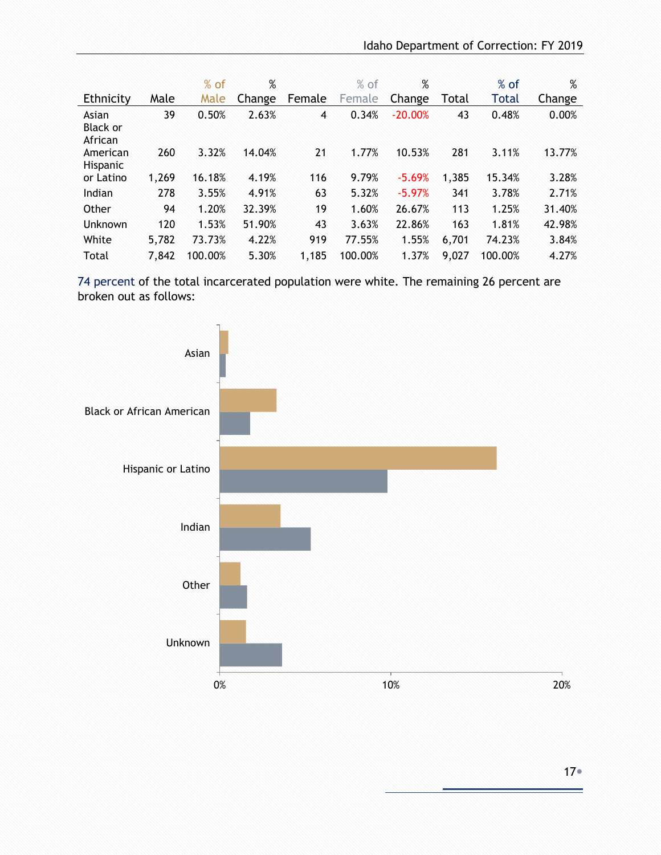|                                     |       | $%$ of  | %      |                | $%$ of  | %         |       | $%$ of  | %      |
|-------------------------------------|-------|---------|--------|----------------|---------|-----------|-------|---------|--------|
| Ethnicity                           | Male  | Male    | Change | Female         | Female  | Change    | Total | Total   | Change |
| Asian<br><b>Black or</b><br>African | 39    | 0.50%   | 2.63%  | $\overline{4}$ | 0.34%   | $-20.00%$ | 43    | 0.48%   | 0.00%  |
| American<br>Hispanic                | 260   | 3.32%   | 14.04% | 21             | 1.77%   | 10.53%    | 281   | 3.11%   | 13.77% |
| or Latino                           | 1,269 | 16.18%  | 4.19%  | 116            | 9.79%   | $-5.69%$  | 1,385 | 15.34%  | 3.28%  |
| Indian                              | 278   | 3.55%   | 4.91%  | 63             | 5.32%   | $-5.97%$  | 341   | 3.78%   | 2.71%  |
| Other                               | 94    | 1.20%   | 32.39% | 19             | 1.60%   | 26.67%    | 113   | 1.25%   | 31.40% |
| Unknown                             | 120   | 1.53%   | 51.90% | 43             | 3.63%   | 22.86%    | 163   | 1.81%   | 42.98% |
| White                               | 5,782 | 73.73%  | 4.22%  | 919            | 77.55%  | 1.55%     | 6,701 | 74.23%  | 3.84%  |
| Total                               | 7,842 | 100.00% | 5.30%  | 1,185          | 100.00% | 1.37%     | 9,027 | 100.00% | 4.27%  |

 74 percent of the total incarcerated population were white. The remaining 26 percent are broken out as follows:

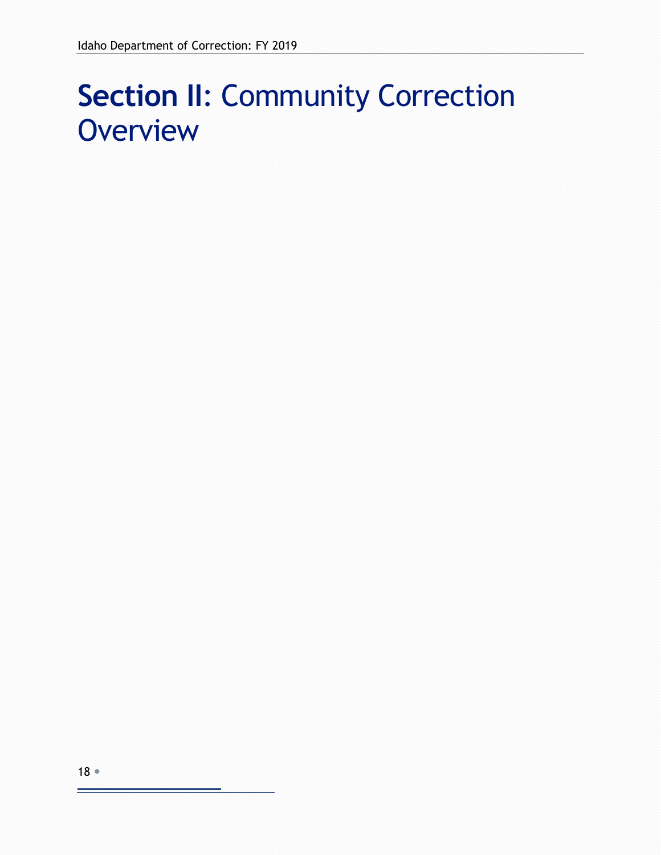# <span id="page-17-0"></span>**Section II**: Community Correction **Overview**

۳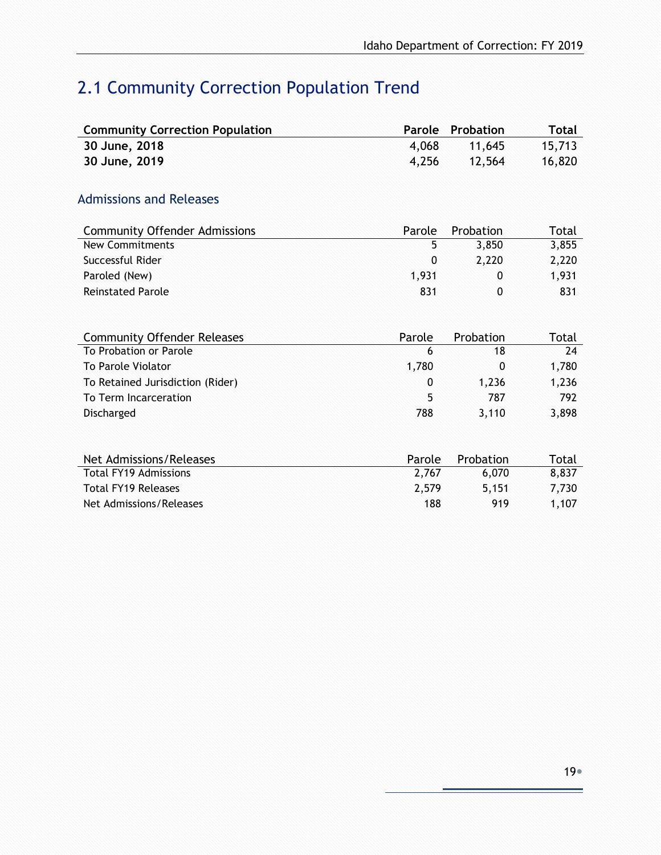# <span id="page-18-0"></span>2.1 Community Correction Population Trend

<span id="page-18-1"></span>

| <b>Community Correction Population</b> | Parole      | Probation    | <b>Total</b> |
|----------------------------------------|-------------|--------------|--------------|
| 30 June, 2018                          | 4,068       | 11,645       | 15,713       |
| 30 June, 2019                          | 4,256       | 12,564       | 16,820       |
|                                        |             |              |              |
| <b>Admissions and Releases</b>         |             |              |              |
| <b>Community Offender Admissions</b>   | Parole      | Probation    | Total        |
| <b>New Commitments</b>                 | 5           | 3,850        | 3,855        |
| Successful Rider                       | $\mathbf 0$ | 2,220        | 2,220        |
| Paroled (New)                          | 1,931       | $\mathbf{0}$ | 1,931        |
| <b>Reinstated Parole</b>               | 831         | 0            | 831          |
|                                        |             |              |              |
| <b>Community Offender Releases</b>     | Parole      | Probation    | Total        |
| To Probation or Parole                 | 6           | 18           | 24           |
| To Parole Violator                     | 1,780       | 0            | 1,780        |
| To Retained Jurisdiction (Rider)       | 0           | 1,236        | 1,236        |
| To Term Incarceration                  | 5           | 787          | 792          |
| Discharged                             | 788         | 3,110        | 3,898        |
|                                        |             |              |              |
| Net Admissions/Releases                | Parole      | Probation    | Total        |
| <b>Total FY19 Admissions</b>           | 2,767       | 6,070        | 8,837        |
| <b>Total FY19 Releases</b>             | 2,579       | 5,151        | 7,730        |
| Net Admissions/Releases                | 188         | 919          | 1,107        |
|                                        |             |              |              |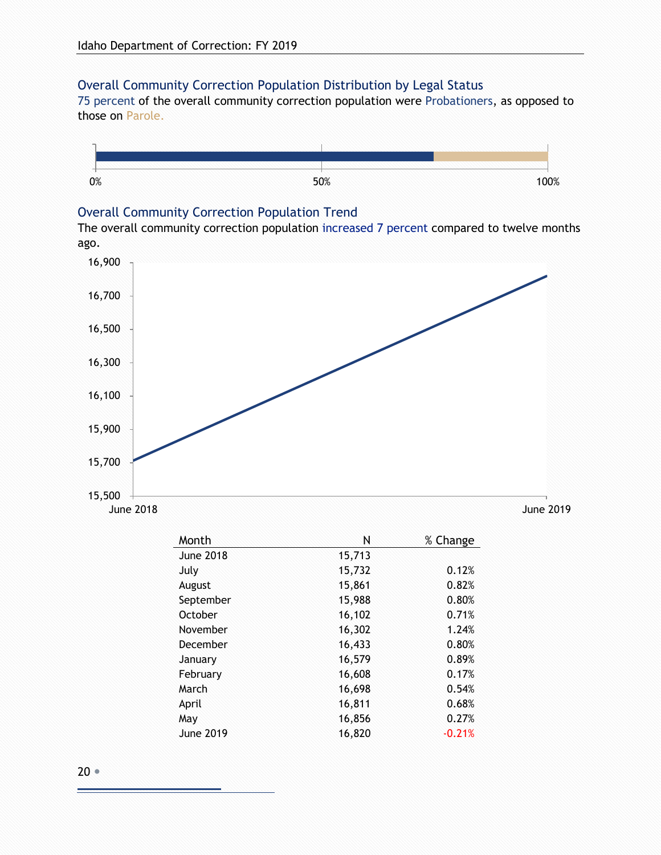#### <span id="page-19-0"></span>Overall Community Correction Population Distribution by Legal Status

75 percent of the overall community correction population were Probationers, as opposed to those on Parole.



#### <span id="page-19-1"></span>Overall Community Correction Population Trend

The overall community correction population increased 7 percent compared to twelve months ago.



| Month            | Ν      | % Change |
|------------------|--------|----------|
| <b>June 2018</b> | 15,713 |          |
| July             | 15,732 | 0.12%    |
| August           | 15,861 | 0.82%    |
| September        | 15,988 | 0.80%    |
| October          | 16,102 | 0.71%    |
| November         | 16,302 | 1.24%    |
| December         | 16,433 | 0.80%    |
| January          | 16,579 | 0.89%    |
| February         | 16,608 | 0.17%    |
| March            | 16,698 | 0.54%    |
| April            | 16,811 | 0.68%    |
| May              | 16,856 | 0.27%    |
| June 2019        | 16,820 | $-0.21%$ |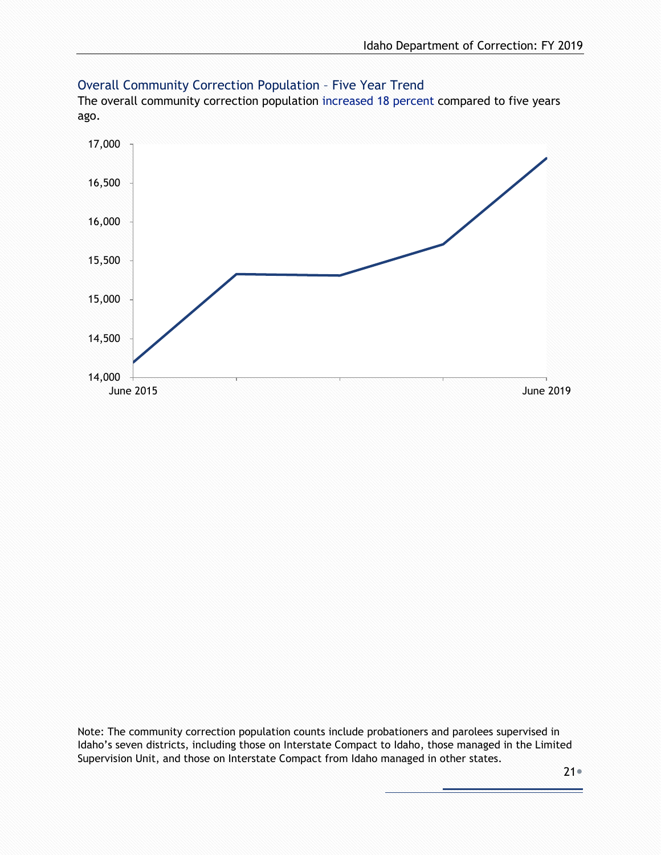

#### <span id="page-20-0"></span>Overall Community Correction Population – Five Year Trend

The overall community correction population increased 18 percent compared to five years ago.

Note: The community correction population counts include probationers and parolees supervised in Idaho's seven districts, including those on Interstate Compact to Idaho, those managed in the Limited Supervision Unit, and those on Interstate Compact from Idaho managed in other states.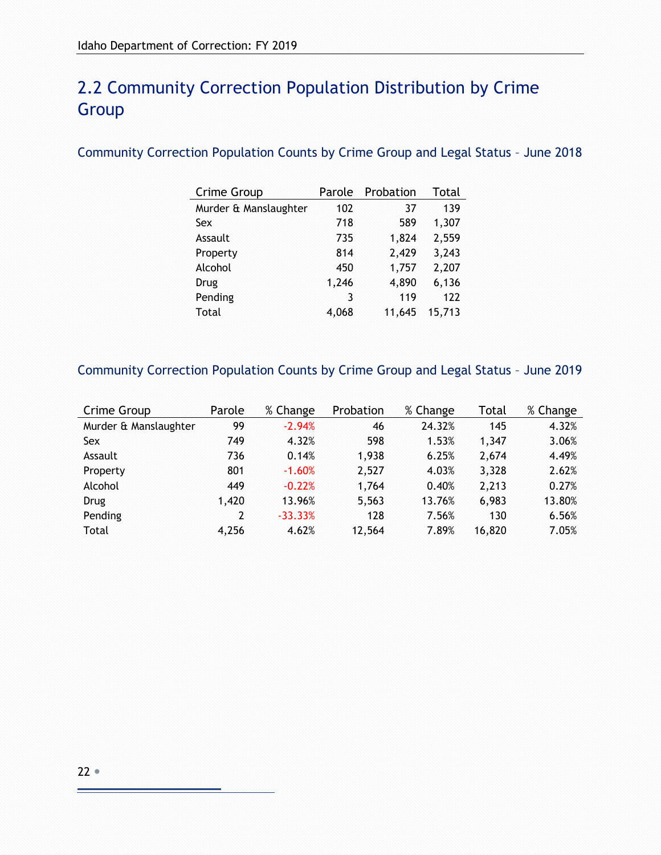## <span id="page-21-0"></span>2.2 Community Correction Population Distribution by Crime **Group**

#### <span id="page-21-1"></span>Community Correction Population Counts by Crime Group and Legal Status – June 2018

| Crime Group           | Parole | Probation | Total  |
|-----------------------|--------|-----------|--------|
| Murder & Manslaughter | 102    | 37        | 139    |
| Sex                   | 718    | 589       | 1,307  |
| Assault               | 735    | 1,824     | 2,559  |
| Property              | 814    | 2,429     | 3,243  |
| Alcohol               | 450    | 1,757     | 2,207  |
| Drug                  | 1,246  | 4,890     | 6,136  |
| Pending               | 3      | 119       | 122    |
| Total                 | 4,068  | 11,645    | 15,713 |

#### <span id="page-21-2"></span>Community Correction Population Counts by Crime Group and Legal Status – June 2019

| Crime Group           | Parole | % Change  | Probation | % Change | Total  | % Change |
|-----------------------|--------|-----------|-----------|----------|--------|----------|
| Murder & Manslaughter | 99     | $-2.94%$  | 46        | 24.32%   | 145    | 4.32%    |
| Sex                   | 749    | 4.32%     | 598       | 1.53%    | 1,347  | 3.06%    |
| Assault               | 736    | 0.14%     | 1,938     | 6.25%    | 2,674  | 4.49%    |
| Property              | 801    | $-1.60%$  | 2,527     | 4.03%    | 3,328  | 2.62%    |
| Alcohol               | 449    | $-0.22%$  | 1,764     | 0.40%    | 2,213  | 0.27%    |
| Drug                  | 1,420  | 13.96%    | 5,563     | 13.76%   | 6,983  | 13.80%   |
| Pending               | 2      | $-33.33%$ | 128       | 7.56%    | 130    | 6.56%    |
| Total                 | 4,256  | 4.62%     | 12,564    | 7.89%    | 16,820 | 7.05%    |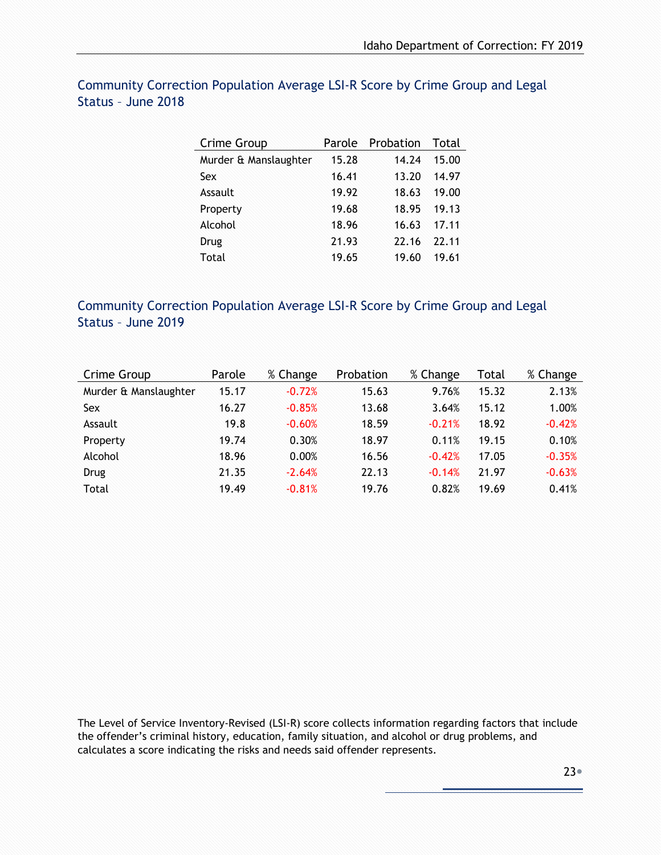| Crime Group           | Parole | Probation | Total |
|-----------------------|--------|-----------|-------|
| Murder & Manslaughter | 15.28  | 14.24     | 15.00 |
| Sex                   | 16.41  | 13.20     | 14.97 |
| Assault               | 19.92  | 18.63     | 19.00 |
| Property              | 19.68  | 18.95     | 19.13 |
| Alcohol               | 18.96  | 16.63     | 17.11 |
| Drug                  | 21.93  | 22.16     | 22.11 |
| Total                 | 19.65  | 19.60     | 19.61 |

#### <span id="page-22-0"></span>Community Correction Population Average LSI-R Score by Crime Group and Legal Status – June 2018

#### <span id="page-22-1"></span>Community Correction Population Average LSI-R Score by Crime Group and Legal Status – June 2019

| Crime Group           | Parole | % Change | Probation | % Change | Total | % Change |
|-----------------------|--------|----------|-----------|----------|-------|----------|
| Murder & Manslaughter | 15.17  | $-0.72%$ | 15.63     | 9.76%    | 15.32 | 2.13%    |
| Sex                   | 16.27  | $-0.85%$ | 13.68     | 3.64%    | 15.12 | 1.00%    |
| Assault               | 19.8   | $-0.60%$ | 18.59     | $-0.21%$ | 18.92 | $-0.42%$ |
| Property              | 19.74  | 0.30%    | 18.97     | 0.11%    | 19.15 | 0.10%    |
| Alcohol               | 18.96  | 0.00%    | 16.56     | $-0.42%$ | 17.05 | $-0.35%$ |
| <b>Drug</b>           | 21.35  | $-2.64%$ | 22.13     | $-0.14%$ | 21.97 | $-0.63%$ |
| Total                 | 19.49  | $-0.81%$ | 19.76     | 0.82%    | 19.69 | 0.41%    |

The Level of Service Inventory-Revised (LSI-R) score collects information regarding factors that include the offender's criminal history, education, family situation, and alcohol or drug problems, and calculates a score indicating the risks and needs said offender represents.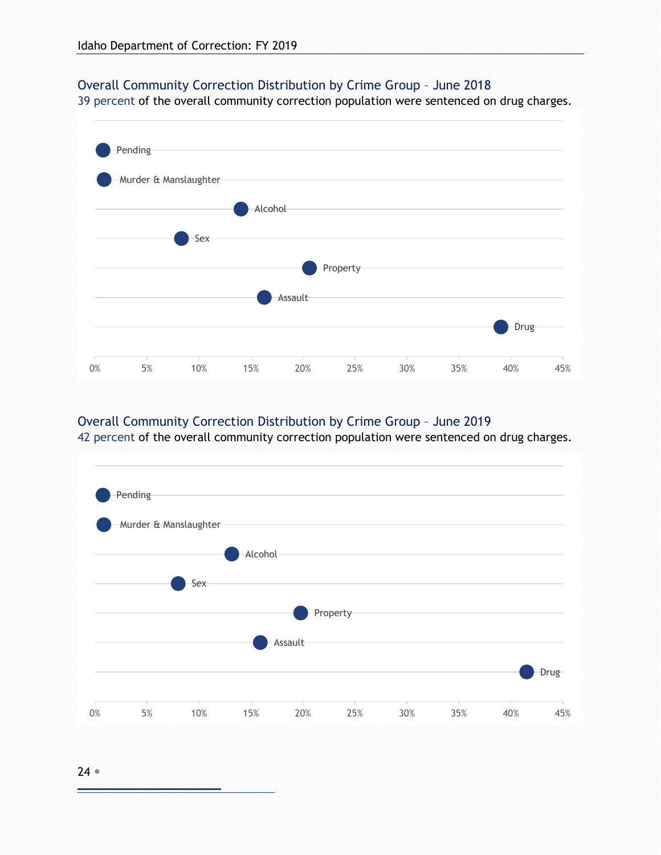#### <span id="page-23-0"></span>Overall Community Correction Distribution by Crime Group – June 2018

39 percent of the overall community correction population were sentenced on drug charges.



#### <span id="page-23-1"></span>Overall Community Correction Distribution by Crime Group – June 2019

42 percent of the overall community correction population were sentenced on drug charges.

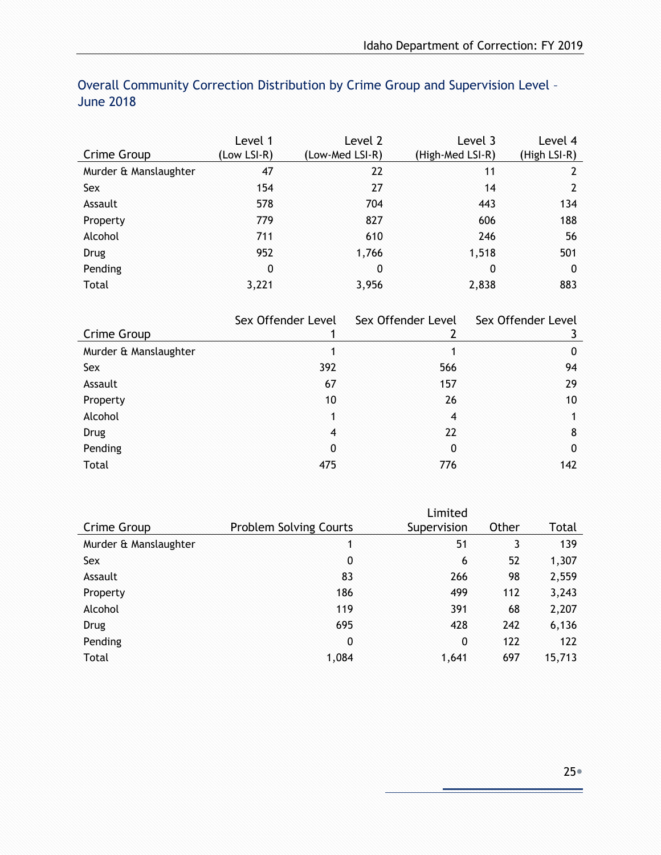|                       | Level 1     | Level 2         | Level 3          | Level 4      |
|-----------------------|-------------|-----------------|------------------|--------------|
| Crime Group           | (Low LSI-R) | (Low-Med LSI-R) | (High-Med LSI-R) | (High LSI-R) |
| Murder & Manslaughter | 47          | 22              | 11               | 2            |
| Sex                   | 154         | 27              | 14               | 2            |
| Assault               | 578         | 704             | 443              | 134          |
| Property              | 779         | 827             | 606              | 188          |
| Alcohol               | 711         | 610             | 246              | 56           |
| <b>Drug</b>           | 952         | 1,766           | 1,518            | 501          |
| Pending               | 0           | 0               | 0                | 0            |
| Total                 | 3,221       | 3,956           | 2,838            | 883          |

#### <span id="page-24-0"></span>Overall Community Correction Distribution by Crime Group and Supervision Level – June 2018

|                       | Sex Offender Level | Sex Offender Level | Sex Offender Level |
|-----------------------|--------------------|--------------------|--------------------|
| Crime Group           |                    |                    |                    |
| Murder & Manslaughter |                    |                    | 0                  |
| Sex                   | 392                | 566                | 94                 |
| Assault               | 67                 | 157                | 29                 |
| Property              | 10                 | 26                 | 10                 |
| Alcohol               | 1                  | $\overline{4}$     |                    |
| <b>Drug</b>           | $\overline{4}$     | 22                 | 8                  |
| Pending               | $\mathbf{0}$       | 0                  | 0                  |
| Total                 | 475                | 776                | 142                |

|                       |                               | Limited     |       |        |
|-----------------------|-------------------------------|-------------|-------|--------|
| Crime Group           | <b>Problem Solving Courts</b> | Supervision | Other | Total  |
| Murder & Manslaughter | 1                             | 51          | 3     | 139    |
| Sex                   | 0                             | 6           | 52    | 1,307  |
| Assault               | 83                            | 266         | 98    | 2,559  |
| Property              | 186                           | 499         | 112   | 3,243  |
| Alcohol               | 119                           | 391         | 68    | 2,207  |
| Drug                  | 695                           | 428         | 242   | 6,136  |
| Pending               | 0                             | 0           | 122   | 122    |
| Total                 | 1,084                         | 1,641       | 697   | 15,713 |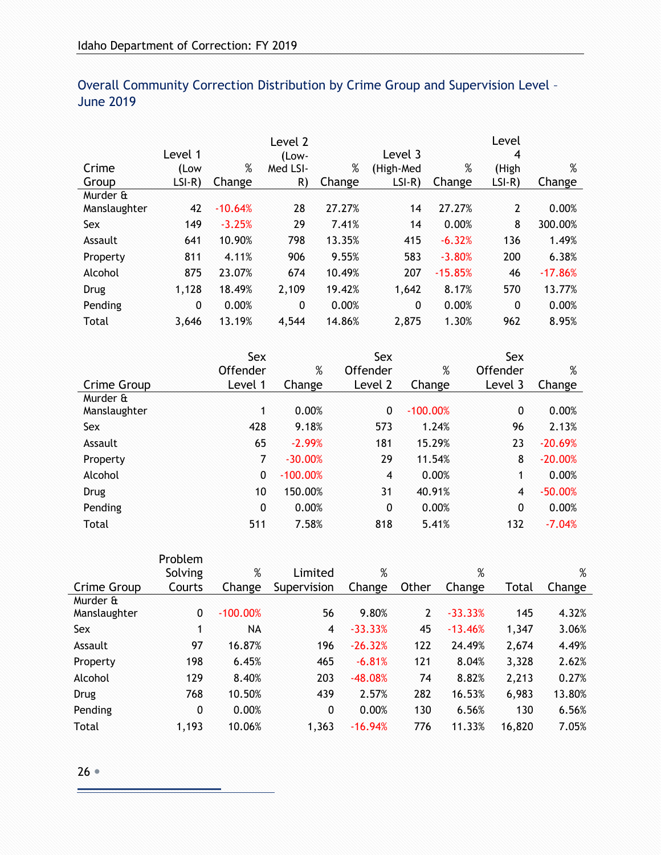|              | Level 1      |           | Level 2<br>(Low- |        | Level 3   |           | Level<br>4     |           |
|--------------|--------------|-----------|------------------|--------|-----------|-----------|----------------|-----------|
| Crime        | (Low         | %         | Med LSI-         | %      | (High-Med | %         | (High          | $\%$      |
| Group        | $LSI-R)$     | Change    | R)               | Change | $LSI-R$   | Change    | $LSI-R)$       | Change    |
| Murder &     |              |           |                  |        |           |           |                |           |
| Manslaughter | 42           | $-10.64%$ | 28               | 27.27% | 14        | 27.27%    | $\overline{2}$ | 0.00%     |
| Sex          | 149          | $-3.25%$  | 29               | 7.41%  | 14        | 0.00%     | 8              | 300.00%   |
| Assault      | 641          | 10.90%    | 798              | 13.35% | 415       | $-6.32%$  | 136            | 1.49%     |
| Property     | 811          | 4.11%     | 906              | 9.55%  | 583       | $-3.80%$  | 200            | 6.38%     |
| Alcohol      | 875          | 23.07%    | 674              | 10.49% | 207       | $-15.85%$ | 46             | $-17.86%$ |
| Drug         | 1,128        | 18.49%    | 2,109            | 19.42% | 1,642     | 8.17%     | 570            | 13.77%    |
| Pending      | $\mathbf{0}$ | 0.00%     | $\mathbf{0}$     | 0.00%  | 0         | 0.00%     | $\mathbf{0}$   | 0.00%     |
| Total        | 3.646        | 13.19%    | 4,544            | 14.86% | 2,875     | 1.30%     | 962            | 8.95%     |

#### <span id="page-25-0"></span>Overall Community Correction Distribution by Crime Group and Supervision Level – June 2019

| Sex          |            | Sex            |            | Sex            |           |
|--------------|------------|----------------|------------|----------------|-----------|
| Offender     | %          | Offender       | %          | Offender       | %         |
| Level 1      | Change     | Level 2        | Change     | Level 3        | Change    |
|              |            |                |            |                |           |
| 1            | 0.00%      | $\mathbf{0}$   | $-100.00%$ | 0              | 0.00%     |
| 428          | 9.18%      | 573            | 1.24%      | 96             | 2.13%     |
| 65           | $-2.99%$   | 181            | 15.29%     | 23             | $-20.69%$ |
| 7            | $-30.00%$  | 29             | 11.54%     | 8              | $-20.00%$ |
| $\mathbf{0}$ | $-100.00%$ | $\overline{4}$ | 0.00%      | 1              | 0.00%     |
| 10           | 150.00%    | 31             | 40.91%     | $\overline{4}$ | $-50.00%$ |
| 0            | 0.00%      | 0              | 0.00%      | 0              | 0.00%     |
| 511          | 7.58%      | 818            | 5.41%      | 132            | $-7.04%$  |
|              |            |                |            |                |           |

|              | Problem |            |              |           |       |           |        |        |
|--------------|---------|------------|--------------|-----------|-------|-----------|--------|--------|
|              | Solving | %          | Limited      | $\%$      |       | %         |        | %      |
| Crime Group  | Courts  | Change     | Supervision  | Change    | Other | Change    | Total  | Change |
| Murder &     |         |            |              |           |       |           |        |        |
| Manslaughter | 0       | $-100.00%$ | 56           | 9.80%     | 2     | $-33.33%$ | 145    | 4.32%  |
| Sex          | 1       | NА         | 4            | $-33.33%$ | 45    | $-13.46%$ | 1,347  | 3.06%  |
| Assault      | 97      | 16.87%     | 196          | $-26.32%$ | 122   | 24.49%    | 2,674  | 4.49%  |
| Property     | 198     | 6.45%      | 465          | $-6.81%$  | 121   | 8.04%     | 3,328  | 2.62%  |
| Alcohol      | 129     | 8.40%      | 203          | $-48.08%$ | 74    | 8.82%     | 2,213  | 0.27%  |
| <b>Drug</b>  | 768     | 10.50%     | 439          | 2.57%     | 282   | 16.53%    | 6,983  | 13.80% |
| Pending      | 0       | 0.00%      | $\mathbf{0}$ | 0.00%     | 130   | 6.56%     | 130    | 6.56%  |
| Total        | 1,193   | 10.06%     | 1,363        | $-16.94%$ | 776   | 11.33%    | 16,820 | 7.05%  |

è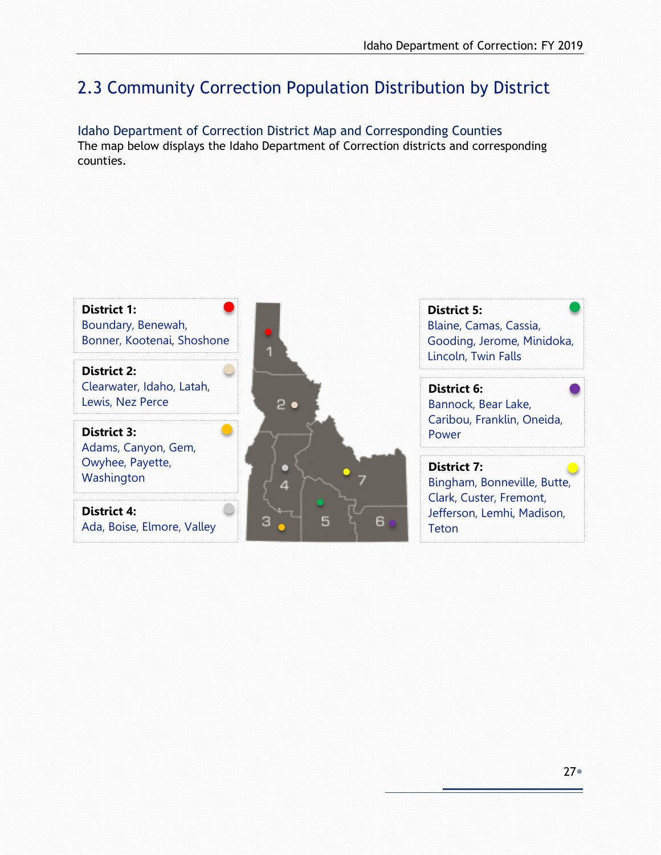## <span id="page-26-0"></span>2.3 Community Correction Population Distribution by District

<span id="page-26-1"></span>Idaho Department of Correction District Map and Corresponding Counties The map below displays the Idaho Department of Correction districts and corresponding counties.

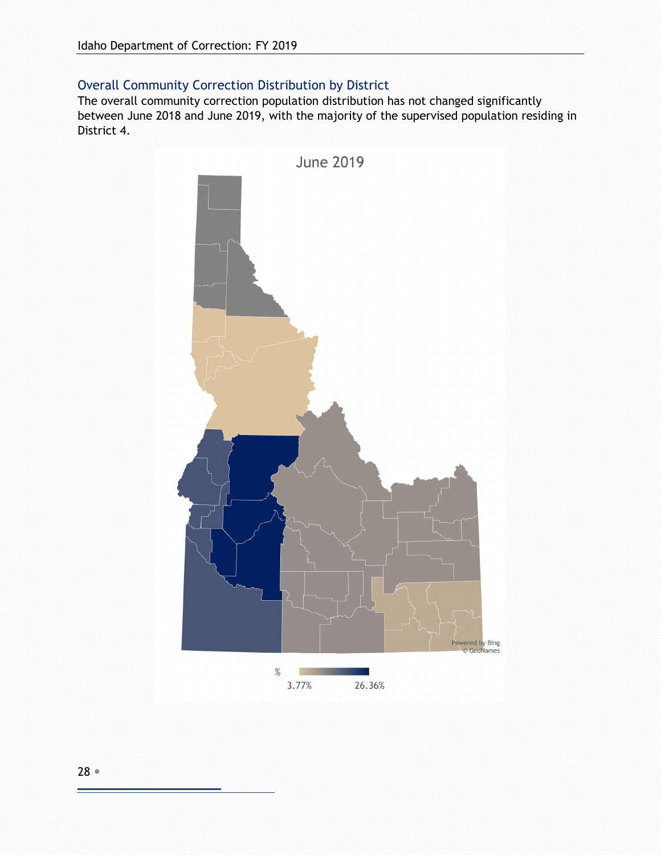#### <span id="page-27-0"></span>Overall Community Correction Distribution by District

The overall community correction population distribution has not changed significantly between June 2018 and June 2019, with the majority of the supervised population residing in District 4.

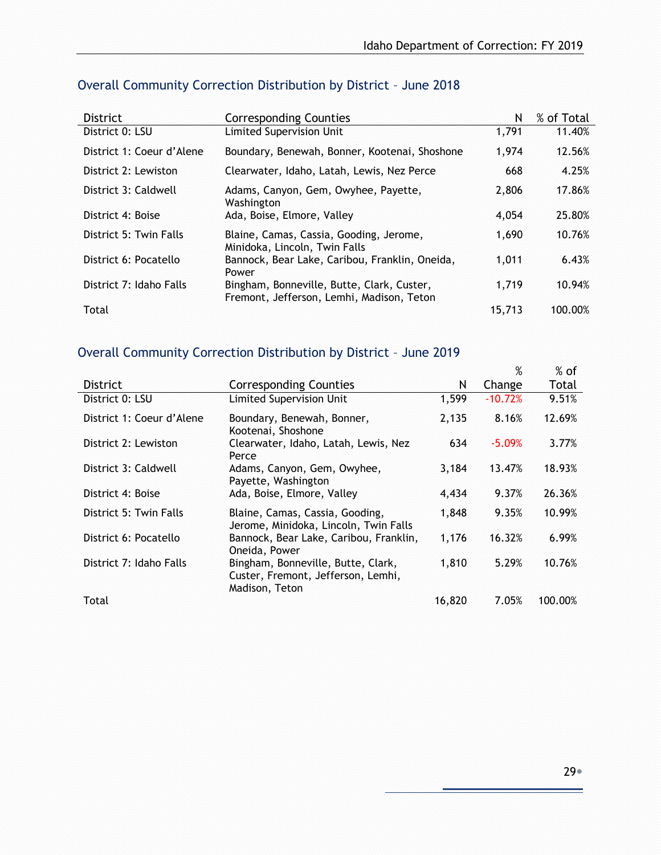| <b>District</b>           | <b>Corresponding Counties</b>                                                           | N      | % of Total |
|---------------------------|-----------------------------------------------------------------------------------------|--------|------------|
| District 0: LSU           | <b>Limited Supervision Unit</b>                                                         | 1,791  | 11.40%     |
| District 1: Coeur d'Alene | Boundary, Benewah, Bonner, Kootenai, Shoshone                                           | 1.974  | 12.56%     |
| District 2: Lewiston      | Clearwater, Idaho, Latah, Lewis, Nez Perce                                              | 668    | 4.25%      |
| District 3: Caldwell      | Adams, Canyon, Gem, Owyhee, Payette,<br>Washington                                      | 2,806  | 17.86%     |
| District 4: Boise         | Ada, Boise, Elmore, Valley                                                              | 4.054  | 25.80%     |
| District 5: Twin Falls    | Blaine, Camas, Cassia, Gooding, Jerome,<br>Minidoka, Lincoln, Twin Falls                | 1,690  | 10.76%     |
| District 6: Pocatello     | Bannock, Bear Lake, Caribou, Franklin, Oneida,<br>Power                                 | 1,011  | 6.43%      |
| District 7: Idaho Falls   | Bingham, Bonneville, Butte, Clark, Custer,<br>Fremont, Jefferson, Lemhi, Madison, Teton | 1.719  | 10.94%     |
| Total                     |                                                                                         | 15,713 | 100.00%    |

### <span id="page-28-0"></span>Overall Community Correction Distribution by District – June 2018

### <span id="page-28-1"></span>Overall Community Correction Distribution by District – June 2019

|                           |                                                                                            |        | %         | $%$ of  |
|---------------------------|--------------------------------------------------------------------------------------------|--------|-----------|---------|
| <b>District</b>           | <b>Corresponding Counties</b>                                                              | N      | Change    | Total   |
| District 0: LSU           | Limited Supervision Unit                                                                   | 1,599  | $-10.72%$ | 9.51%   |
| District 1: Coeur d'Alene | Boundary, Benewah, Bonner,<br>Kootenai, Shoshone                                           | 2,135  | 8.16%     | 12.69%  |
| District 2: Lewiston      | Clearwater, Idaho, Latah, Lewis, Nez<br>Perce                                              | 634    | $-5.09%$  | 3.77%   |
| District 3: Caldwell      | Adams, Canyon, Gem, Owyhee,<br>Payette, Washington                                         | 3,184  | 13.47%    | 18.93%  |
| District 4: Boise         | Ada, Boise, Elmore, Valley                                                                 | 4,434  | 9.37%     | 26.36%  |
| District 5: Twin Falls    | Blaine, Camas, Cassia, Gooding,<br>Jerome, Minidoka, Lincoln, Twin Falls                   | 1,848  | 9.35%     | 10.99%  |
| District 6: Pocatello     | Bannock, Bear Lake, Caribou, Franklin,<br>Oneida, Power                                    | 1,176  | 16.32%    | 6.99%   |
| District 7: Idaho Falls   | Bingham, Bonneville, Butte, Clark,<br>Custer, Fremont, Jefferson, Lemhi,<br>Madison, Teton | 1,810  | 5.29%     | 10.76%  |
| Total                     |                                                                                            | 16,820 | 7.05%     | 100.00% |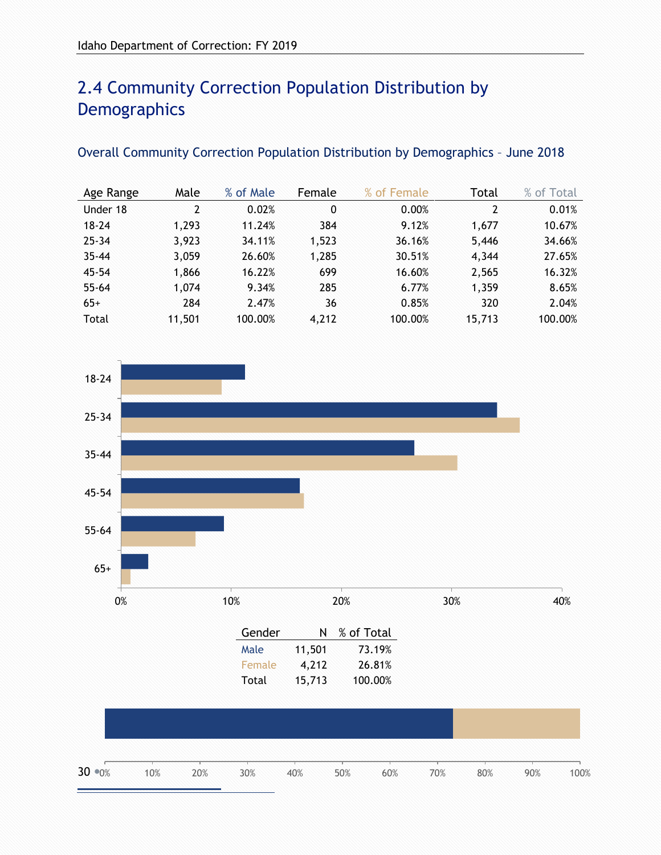## <span id="page-29-0"></span>2.4 Community Correction Population Distribution by **Demographics**

#### <span id="page-29-1"></span>Overall Community Correction Population Distribution by Demographics – June 2018

| Age Range | Male   | % of Male | Female | % of Female | Total  | % of Total |
|-----------|--------|-----------|--------|-------------|--------|------------|
| Under 18  | 2      | 0.02%     | 0      | 0.00%       | 2      | 0.01%      |
| $18 - 24$ | 1,293  | 11.24%    | 384    | 9.12%       | 1.677  | 10.67%     |
| $25 - 34$ | 3,923  | 34.11%    | 1,523  | 36.16%      | 5,446  | 34.66%     |
| $35 - 44$ | 3,059  | 26.60%    | 1,285  | 30.51%      | 4,344  | 27.65%     |
| $45 - 54$ | 1,866  | 16.22%    | 699    | 16.60%      | 2,565  | 16.32%     |
| $55 - 64$ | 1,074  | 9.34%     | 285    | 6.77%       | 1,359  | 8.65%      |
| $65+$     | 284    | 2.47%     | 36     | 0.85%       | 320    | 2.04%      |
| Total     | 11,501 | 100.00%   | 4,212  | 100.00%     | 15,713 | 100.00%    |

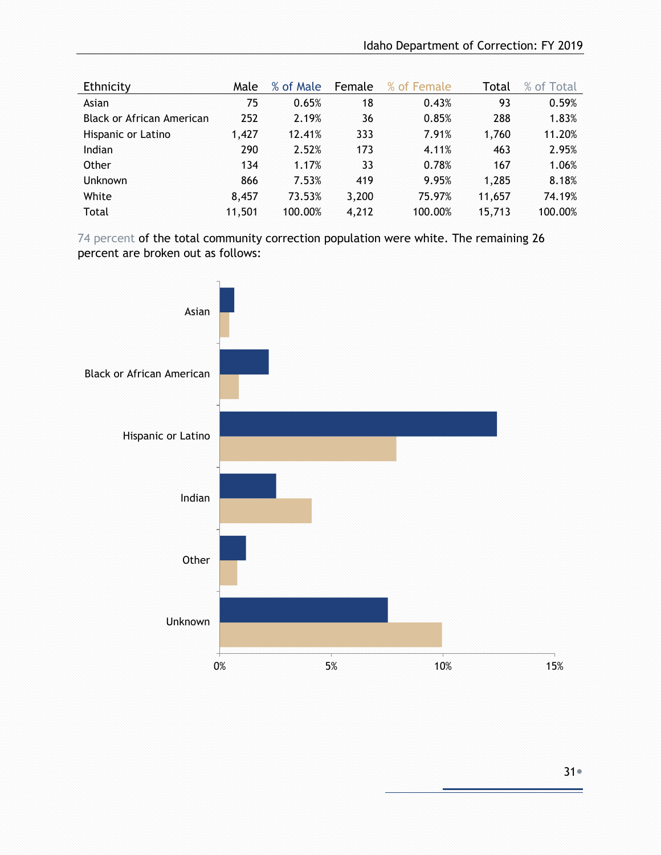| Ethnicity                 | Male   | % of Male | Female | % of Female | Total  | % of Total |
|---------------------------|--------|-----------|--------|-------------|--------|------------|
| Asian                     | 75     | 0.65%     | 18     | 0.43%       | 93     | 0.59%      |
| Black or African American | 252    | 2.19%     | 36     | 0.85%       | 288    | 1.83%      |
| Hispanic or Latino        | 1.427  | 12.41%    | 333    | 7.91%       | 1,760  | 11.20%     |
| Indian                    | 290    | 2.52%     | 173    | 4.11%       | 463    | 2.95%      |
| Other                     | 134    | 1.17%     | 33     | 0.78%       | 167    | 1.06%      |
| <b>Unknown</b>            | 866    | 7.53%     | 419    | 9.95%       | 1,285  | 8.18%      |
| White                     | 8.457  | 73.53%    | 3,200  | 75.97%      | 11,657 | 74.19%     |
| Total                     | 11,501 | 100.00%   | 4,212  | 100.00%     | 15,713 | 100.00%    |

74 percent of the total community correction population were white. The remaining 26 percent are broken out as follows:

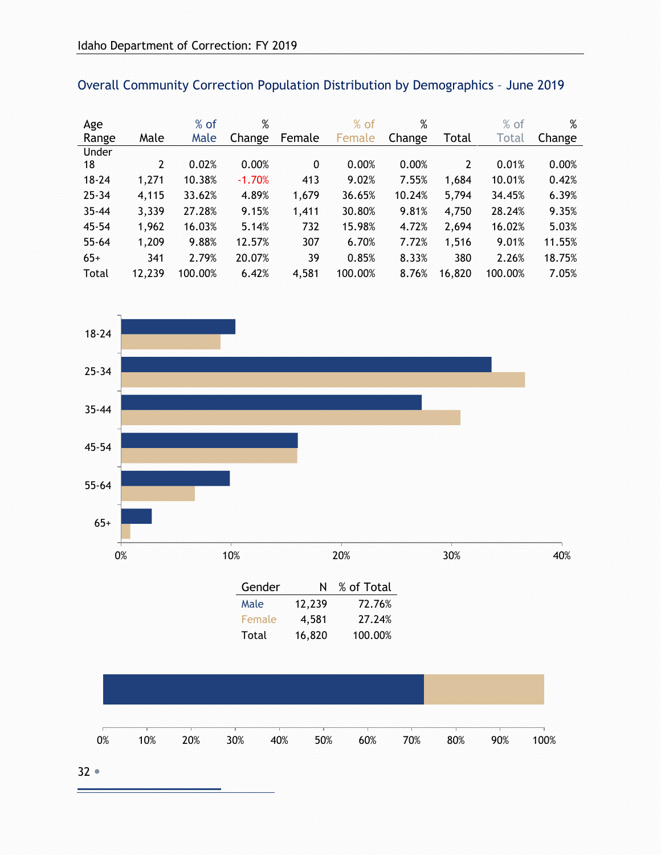| Age       |        | $%$ of  | %        |        | $%$ of  | $\%$   |                | $%$ of  | %      |
|-----------|--------|---------|----------|--------|---------|--------|----------------|---------|--------|
| Range     | Male   | Male    | Change   | Female | Female  | Change | Total          | Total   | Change |
| Under     |        |         |          |        |         |        |                |         |        |
| 18        | 2      | 0.02%   | 0.00%    | 0      | 0.00%   | 0.00%  | $\overline{2}$ | 0.01%   | 0.00%  |
| $18 - 24$ | 1,271  | 10.38%  | $-1.70%$ | 413    | 9.02%   | 7.55%  | 1,684          | 10.01%  | 0.42%  |
| $25 - 34$ | 4,115  | 33.62%  | 4.89%    | 1,679  | 36.65%  | 10.24% | 5,794          | 34.45%  | 6.39%  |
| $35 - 44$ | 3,339  | 27.28%  | 9.15%    | 1,411  | 30.80%  | 9.81%  | 4,750          | 28.24%  | 9.35%  |
| $45 - 54$ | 1,962  | 16.03%  | 5.14%    | 732    | 15.98%  | 4.72%  | 2,694          | 16.02%  | 5.03%  |
| $55 - 64$ | 1,209  | 9.88%   | 12.57%   | 307    | 6.70%   | 7.72%  | 1,516          | 9.01%   | 11.55% |
| $65+$     | 341    | 2.79%   | 20.07%   | 39     | 0.85%   | 8.33%  | 380            | 2.26%   | 18.75% |
| Total     | 12,239 | 100.00% | 6.42%    | 4,581  | 100.00% | 8.76%  | 16,820         | 100.00% | 7.05%  |

<span id="page-31-0"></span>

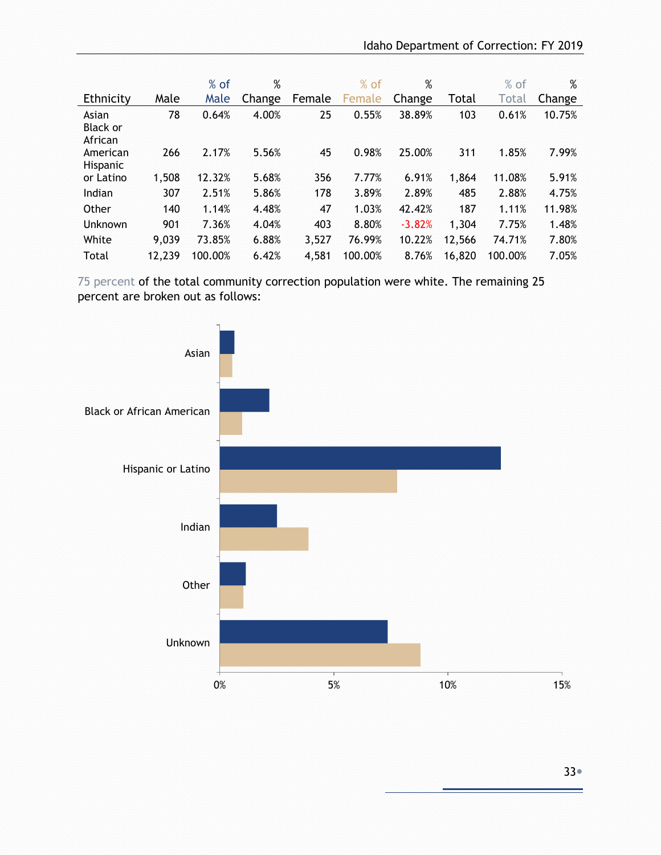|                                     |        | $%$ of  | %      |        | $%$ of  | %        |        | $%$ of  | %      |
|-------------------------------------|--------|---------|--------|--------|---------|----------|--------|---------|--------|
| Ethnicity                           | Male   | Male    | Change | Female | Female  | Change   | Total  | Total   | Change |
| Asian<br><b>Black or</b><br>African | 78     | 0.64%   | 4.00%  | 25     | 0.55%   | 38.89%   | 103    | 0.61%   | 10.75% |
| American<br>Hispanic                | 266    | 2.17%   | 5.56%  | 45     | 0.98%   | 25.00%   | 311    | 1.85%   | 7.99%  |
| or Latino                           | 1,508  | 12.32%  | 5.68%  | 356    | 7.77%   | 6.91%    | 1,864  | 11.08%  | 5.91%  |
| Indian                              | 307    | 2.51%   | 5.86%  | 178    | 3.89%   | 2.89%    | 485    | 2.88%   | 4.75%  |
| Other                               | 140    | 1.14%   | 4.48%  | 47     | 1.03%   | 42.42%   | 187    | 1.11%   | 11.98% |
| Unknown                             | 901    | 7.36%   | 4.04%  | 403    | 8.80%   | $-3.82%$ | 1,304  | 7.75%   | 1.48%  |
| White                               | 9,039  | 73.85%  | 6.88%  | 3,527  | 76.99%  | 10.22%   | 12,566 | 74.71%  | 7.80%  |
| Total                               | 12,239 | 100.00% | 6.42%  | 4,581  | 100.00% | 8.76%    | 16,820 | 100.00% | 7.05%  |

 75 percent of the total community correction population were white. The remaining 25 percent are broken out as follows:

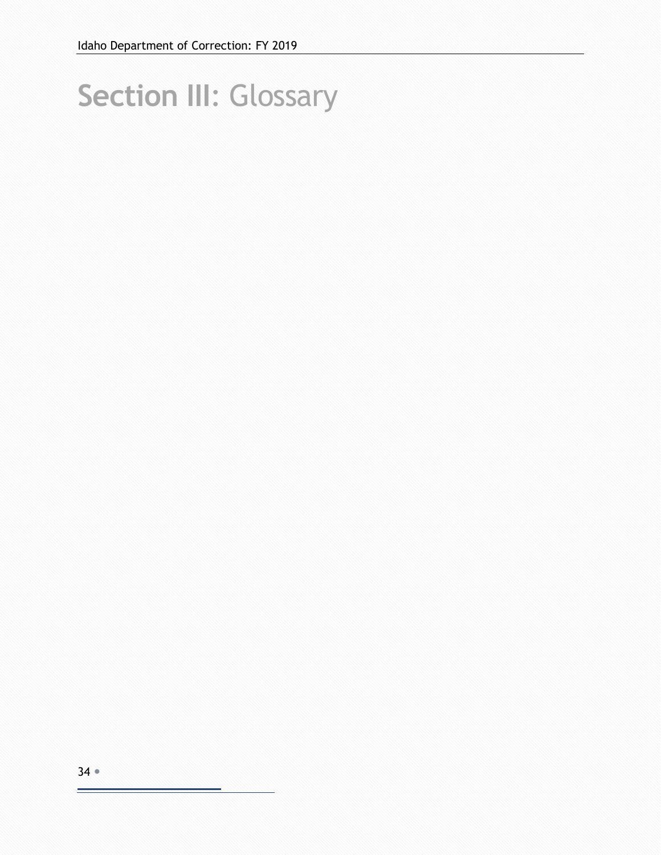# <span id="page-33-0"></span>**Section III**: Glossary

۳